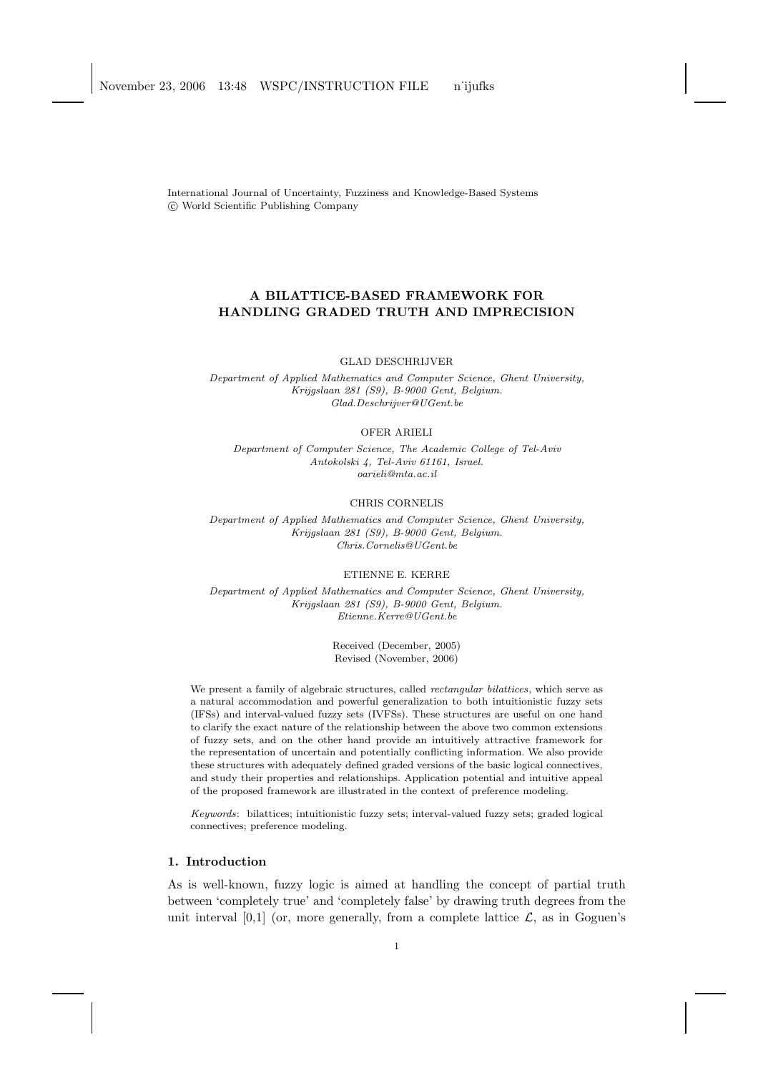International Journal of Uncertainty, Fuzziness and Knowledge-Based Systems c World Scientific Publishing Company

# A BILATTICE-BASED FRAMEWORK FOR HANDLING GRADED TRUTH AND IMPRECISION

#### GLAD DESCHRIJVER

Department of Applied Mathematics and Computer Science, Ghent University, Krijgslaan 281 (S9), B-9000 Gent, Belgium. Glad.Deschrijver@UGent.be

#### OFER ARIELI

Department of Computer Science, The Academic College of Tel-Aviv Antokolski 4, Tel-Aviv 61161, Israel. oarieli@mta.ac.il

### CHRIS CORNELIS

Department of Applied Mathematics and Computer Science, Ghent University, Krijgslaan 281 (S9), B-9000 Gent, Belgium. Chris.Cornelis@UGent.be

### ETIENNE E. KERRE

Department of Applied Mathematics and Computer Science, Ghent University, Krijgslaan 281 (S9), B-9000 Gent, Belgium. Etienne.Kerre@UGent.be

> Received (December, 2005) Revised (November, 2006)

We present a family of algebraic structures, called rectangular bilattices, which serve as a natural accommodation and powerful generalization to both intuitionistic fuzzy sets (IFSs) and interval-valued fuzzy sets (IVFSs). These structures are useful on one hand to clarify the exact nature of the relationship between the above two common extensions of fuzzy sets, and on the other hand provide an intuitively attractive framework for the representation of uncertain and potentially conflicting information. We also provide these structures with adequately defined graded versions of the basic logical connectives, and study their properties and relationships. Application potential and intuitive appeal of the proposed framework are illustrated in the context of preference modeling.

Keywords: bilattices; intuitionistic fuzzy sets; interval-valued fuzzy sets; graded logical connectives; preference modeling.

## 1. Introduction

As is well-known, fuzzy logic is aimed at handling the concept of partial truth between 'completely true' and 'completely false' by drawing truth degrees from the unit interval  $[0,1]$  (or, more generally, from a complete lattice  $\mathcal{L}$ , as in Goguen's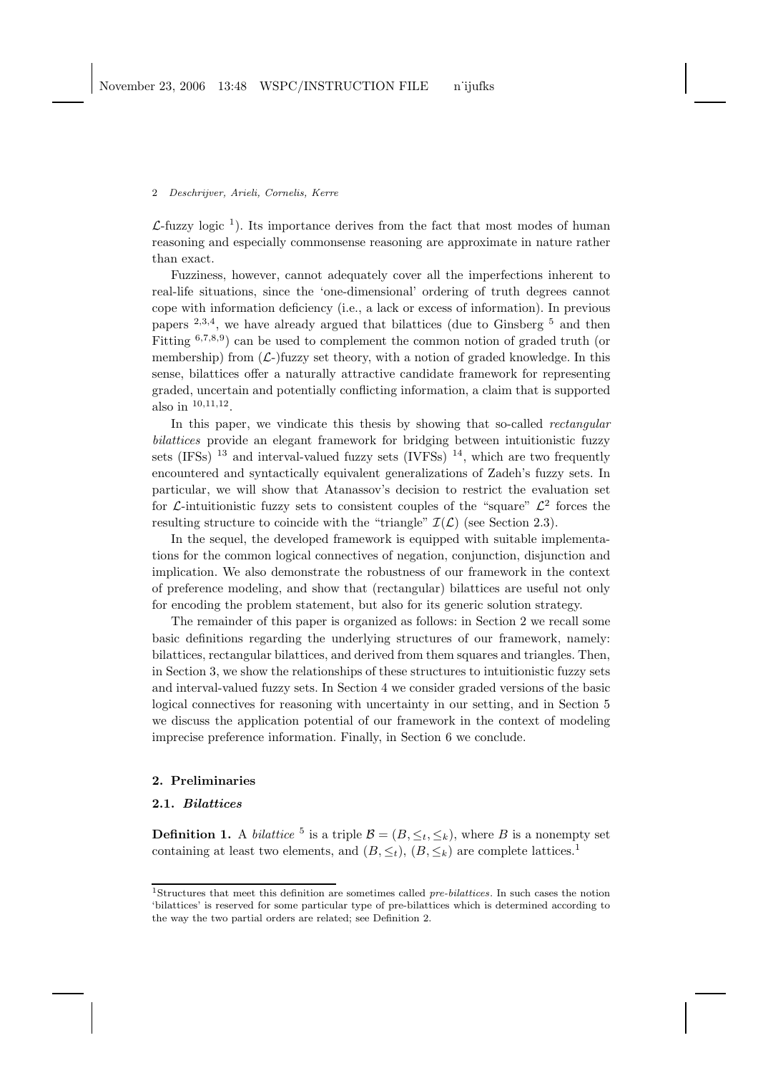$\mathcal{L}$ -fuzzy logic <sup>1</sup>). Its importance derives from the fact that most modes of human reasoning and especially commonsense reasoning are approximate in nature rather than exact.

Fuzziness, however, cannot adequately cover all the imperfections inherent to real-life situations, since the 'one-dimensional' ordering of truth degrees cannot cope with information deficiency (i.e., a lack or excess of information). In previous papers <sup>2,3,4</sup>, we have already argued that bilattices (due to Ginsberg <sup>5</sup> and then Fitting  $6,7,8,9$ ) can be used to complement the common notion of graded truth (or membership) from  $(\mathcal{L})$ -fuzzy set theory, with a notion of graded knowledge. In this sense, bilattices offer a naturally attractive candidate framework for representing graded, uncertain and potentially conflicting information, a claim that is supported also in <sup>10</sup>,11,<sup>12</sup> .

In this paper, we vindicate this thesis by showing that so-called rectangular bilattices provide an elegant framework for bridging between intuitionistic fuzzy sets (IFSs)  $^{13}$  and interval-valued fuzzy sets (IVFSs)  $^{14}$ , which are two frequently encountered and syntactically equivalent generalizations of Zadeh's fuzzy sets. In particular, we will show that Atanassov's decision to restrict the evaluation set for  $\mathcal{L}$ -intuitionistic fuzzy sets to consistent couples of the "square"  $\mathcal{L}^2$  forces the resulting structure to coincide with the "triangle"  $\mathcal{I}(\mathcal{L})$  (see Section 2.3).

In the sequel, the developed framework is equipped with suitable implementations for the common logical connectives of negation, conjunction, disjunction and implication. We also demonstrate the robustness of our framework in the context of preference modeling, and show that (rectangular) bilattices are useful not only for encoding the problem statement, but also for its generic solution strategy.

The remainder of this paper is organized as follows: in Section 2 we recall some basic definitions regarding the underlying structures of our framework, namely: bilattices, rectangular bilattices, and derived from them squares and triangles. Then, in Section 3, we show the relationships of these structures to intuitionistic fuzzy sets and interval-valued fuzzy sets. In Section 4 we consider graded versions of the basic logical connectives for reasoning with uncertainty in our setting, and in Section 5 we discuss the application potential of our framework in the context of modeling imprecise preference information. Finally, in Section 6 we conclude.

# 2. Preliminaries

# 2.1. Bilattices

**Definition 1.** A *bilattice* <sup>5</sup> is a triple  $\mathcal{B} = (B, \leq_t, \leq_k)$ , where B is a nonempty set containing at least two elements, and  $(B, \leq_t), (B, \leq_k)$  are complete lattices.<sup>1</sup>

<sup>&</sup>lt;sup>1</sup>Structures that meet this definition are sometimes called *pre-bilattices*. In such cases the notion 'bilattices' is reserved for some particular type of pre-bilattices which is determined according to the way the two partial orders are related; see Definition 2.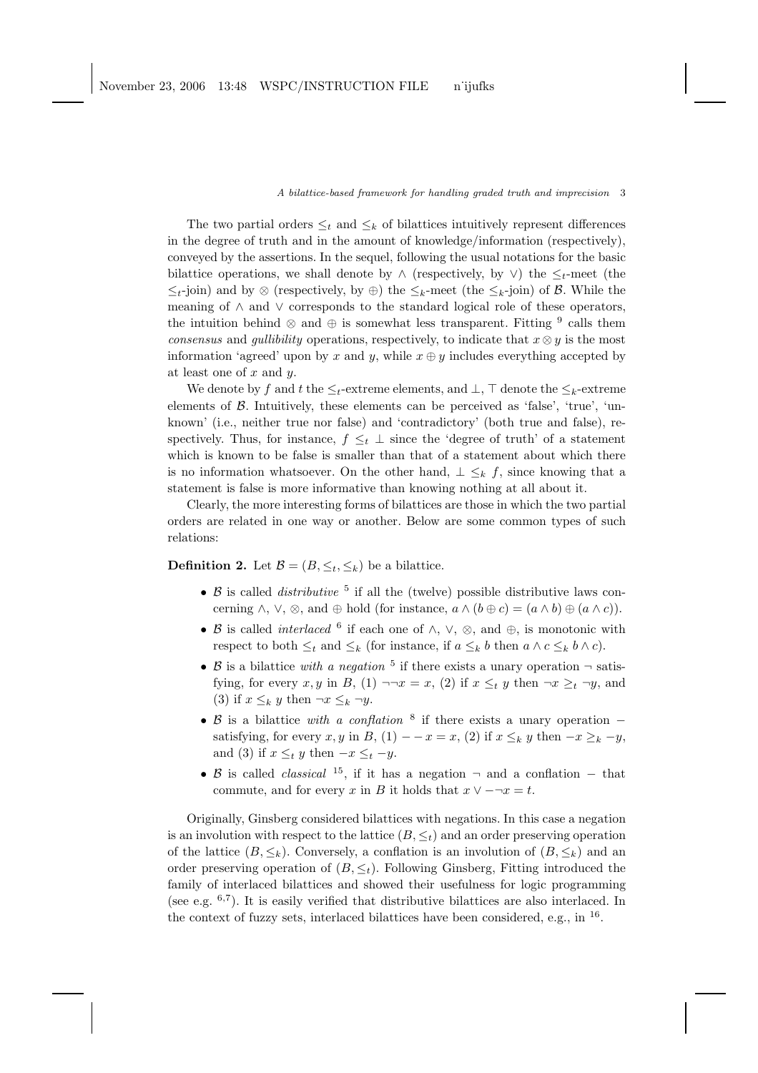The two partial orders  $\leq_t$  and  $\leq_k$  of bilattices intuitively represent differences in the degree of truth and in the amount of knowledge/information (respectively), conveyed by the assertions. In the sequel, following the usual notations for the basic bilattice operations, we shall denote by  $\land$  (respectively, by  $\lor$ ) the  $\leq_t$ -meet (the  $\leq_t$ -join) and by ⊗ (respectively, by ⊕) the  $\leq_k$ -meet (the  $\leq_k$ -join) of B. While the meaning of ∧ and ∨ corresponds to the standard logical role of these operators, the intuition behind  $\otimes$  and  $\oplus$  is somewhat less transparent. Fitting <sup>9</sup> calls them consensus and *gullibility* operations, respectively, to indicate that  $x \otimes y$  is the most information 'agreed' upon by x and y, while  $x \oplus y$  includes everything accepted by at least one of  $x$  and  $y$ .

We denote by f and t the  $\leq_t$ -extreme elements, and  $\perp$ ,  $\top$  denote the  $\leq_k$ -extreme elements of B. Intuitively, these elements can be perceived as 'false', 'true', 'unknown' (i.e., neither true nor false) and 'contradictory' (both true and false), respectively. Thus, for instance,  $f \leq_t \perp$  since the 'degree of truth' of a statement which is known to be false is smaller than that of a statement about which there is no information whatsoever. On the other hand,  $\perp \leq_k f$ , since knowing that a statement is false is more informative than knowing nothing at all about it.

Clearly, the more interesting forms of bilattices are those in which the two partial orders are related in one way or another. Below are some common types of such relations:

**Definition 2.** Let  $\mathcal{B} = (B, \leq t, \leq k)$  be a bilattice.

- $\beta$  is called *distributive* <sup>5</sup> if all the (twelve) possible distributive laws concerning  $\land$ ,  $\lor$ ,  $\otimes$ , and  $\oplus$  hold (for instance,  $a \land (b \oplus c) = (a \land b) \oplus (a \land c)$ ).
- B is called *interlaced* <sup>6</sup> if each one of  $\land$ ,  $\lor$ ,  $\otimes$ , and  $\oplus$ , is monotonic with respect to both  $\leq_t$  and  $\leq_k$  (for instance, if  $a \leq_k b$  then  $a \wedge c \leq_k b \wedge c$ ).
- B is a bilattice with a negation  $\frac{5}{1}$  if there exists a unary operation  $\neg$  satisfying, for every x, y in B, (1)  $\neg\neg x = x$ , (2) if  $x \leq_t y$  then  $\neg x \geq_t \neg y$ , and (3) if  $x \leq_k y$  then  $\neg x \leq_k \neg y$ .
- $\beta$  is a bilattice *with a conflation*<sup>8</sup> if there exists a unary operation satisfying, for every x, y in B, (1) − − x = x, (2) if  $x \leq_k y$  then − x ≥ k − y, and (3) if  $x \leq_t y$  then  $-x \leq_t -y$ .
- B is called *classical* <sup>15</sup>, if it has a negation  $\neg$  and a conflation that commute, and for every x in B it holds that  $x \vee -\neg x = t$ .

Originally, Ginsberg considered bilattices with negations. In this case a negation is an involution with respect to the lattice  $(B, \leq_t)$  and an order preserving operation of the lattice  $(B, \leq_k)$ . Conversely, a conflation is an involution of  $(B, \leq_k)$  and an order preserving operation of  $(B, \leq_t)$ . Following Ginsberg, Fitting introduced the family of interlaced bilattices and showed their usefulness for logic programming (see e.g. <sup>6</sup>,<sup>7</sup> ). It is easily verified that distributive bilattices are also interlaced. In the context of fuzzy sets, interlaced bilattices have been considered, e.g., in <sup>16</sup>.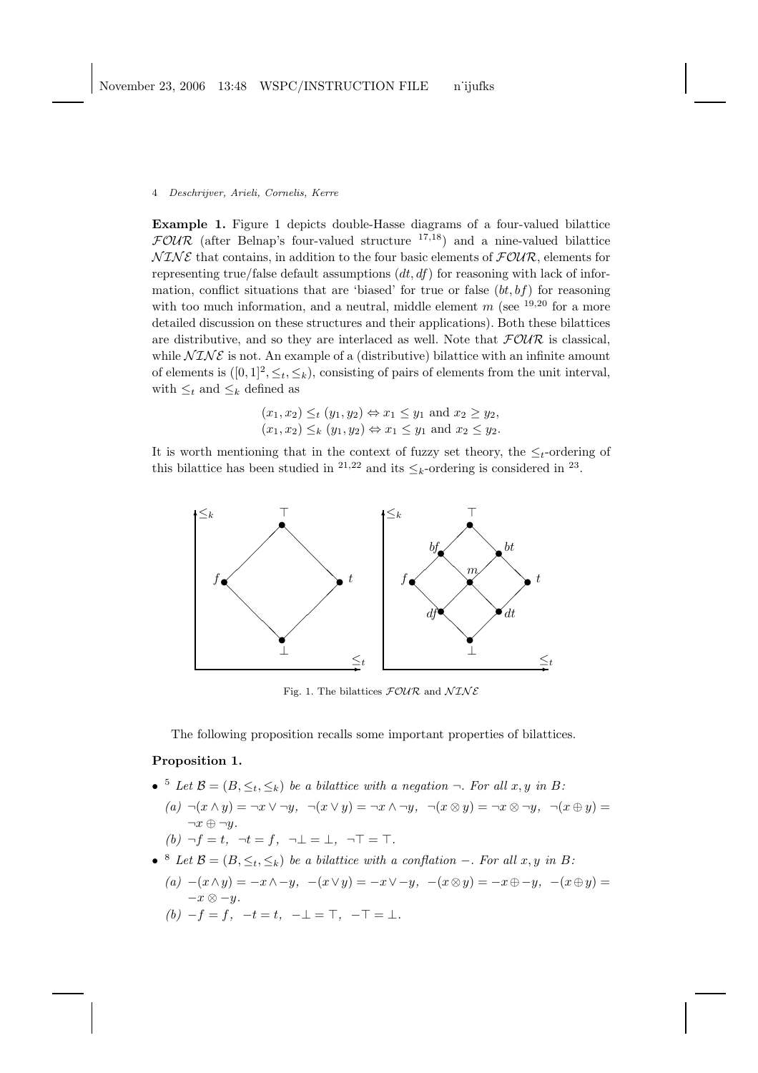Example 1. Figure 1 depicts double-Hasse diagrams of a four-valued bilattice  $FOUR$  (after Belnap's four-valued structure  $^{17,18}$ ) and a nine-valued bilattice  $\mathcal{N} \mathcal{I} \mathcal{N} \mathcal{E}$  that contains, in addition to the four basic elements of  $\mathcal{F} \mathcal{O} \mathcal{U} \mathcal{R}$ , elements for representing true/false default assumptions  $(dt, df)$  for reasoning with lack of information, conflict situations that are 'biased' for true or false  $(bt, bf)$  for reasoning with too much information, and a neutral, middle element  $m$  (see  $^{19,20}$  for a more detailed discussion on these structures and their applications). Both these bilattices are distributive, and so they are interlaced as well. Note that  $FOUR$  is classical, while  $\mathcal{N} \mathcal{I} \mathcal{N} \mathcal{E}$  is not. An example of a (distributive) bilattice with an infinite amount of elements is  $([0,1]^2, \leq_t, \leq_k)$ , consisting of pairs of elements from the unit interval, with  $\leq_t$  and  $\leq_k$  defined as

$$
(x_1, x_2) \leq_t (y_1, y_2) \Leftrightarrow x_1 \leq y_1 \text{ and } x_2 \geq y_2,
$$
  

$$
(x_1, x_2) \leq_k (y_1, y_2) \Leftrightarrow x_1 \leq y_1 \text{ and } x_2 \leq y_2.
$$

It is worth mentioning that in the context of fuzzy set theory, the  $\leq_t$ -ordering of this bilattice has been studied in <sup>21,22</sup> and its  $\leq_k$ -ordering is considered in <sup>23</sup>.



Fig. 1. The bilattices  $\mathcal{FOUR}$  and  $\mathcal{NINE}$ 

The following proposition recalls some important properties of bilattices.

### Proposition 1.

- <sup>5</sup> Let  $\mathcal{B} = (B, \leq_t, \leq_k)$  be a bilattice with a negation  $\neg$ . For all  $x, y$  in  $B$ :
- $(a) \neg(x \land y) = \neg x \lor \neg y, \neg(x \lor y) = \neg x \land \neg y, \neg(x \otimes y) = \neg x \otimes \neg y, \neg(x \oplus y) =$  $\neg x \oplus \neg y$ . (b)  $\neg f = t$ ,  $\neg t = f$ ,  $\neg \bot = \bot$ ,  $\neg \top = \top$ .
- <sup>8</sup> Let  $\mathcal{B} = (B, \leq_t, \leq_k)$  be a bilattice with a conflation –. For all x, y in B:  $(a)$   $-(x \wedge y) = -x \wedge -y$ ,  $-(x \vee y) = -x \vee -y$ ,  $-(x \otimes y) = -x \oplus -y$ ,  $-(x \oplus y) = -x \wedge -y$  $-x \otimes -y.$ (b)  $-f = f$ ,  $-t = t$ ,  $-\perp = \top$ ,  $-\top = \perp$ .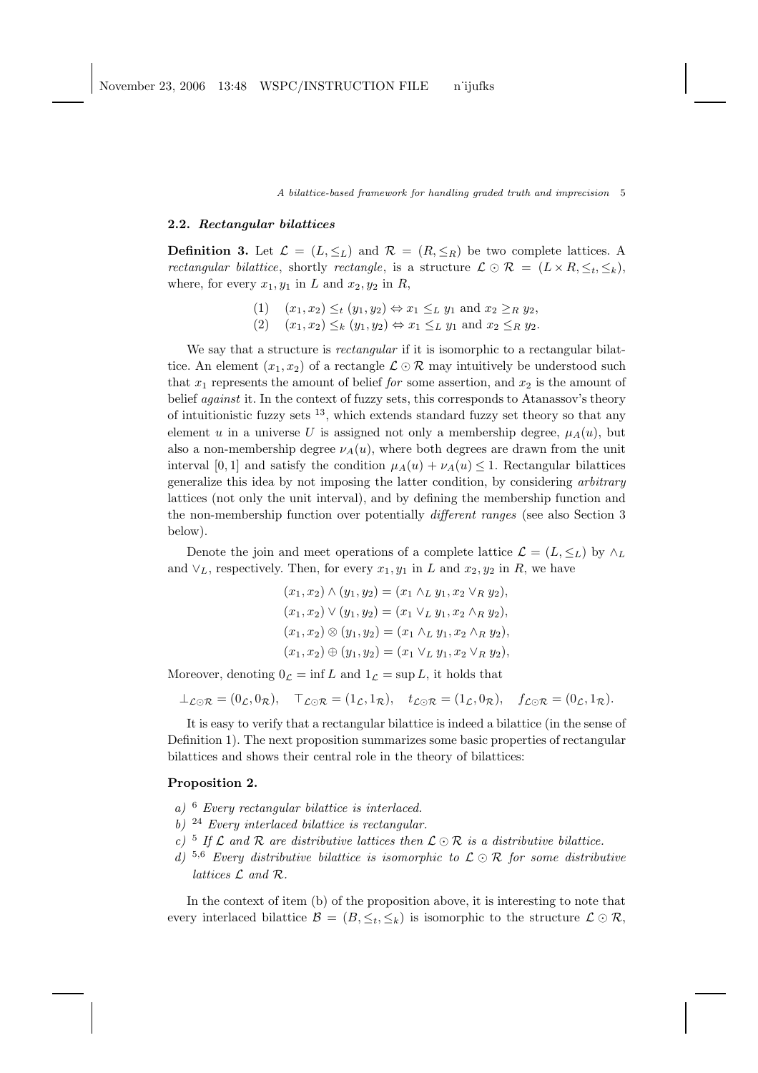### 2.2. Rectangular bilattices

**Definition 3.** Let  $\mathcal{L} = (L, \leq_L)$  and  $\mathcal{R} = (R, \leq_R)$  be two complete lattices. A rectangular bilattice, shortly rectangle, is a structure  $\mathcal{L} \odot \mathcal{R} = (L \times R, \leq_t, \leq_k)$ , where, for every  $x_1, y_1$  in L and  $x_2, y_2$  in R,

> (1)  $(x_1, x_2) \leq_t (y_1, y_2) \Leftrightarrow x_1 \leq_L y_1 \text{ and } x_2 \geq_R y_2,$ (2)  $(x_1, x_2) \leq_k (y_1, y_2) \Leftrightarrow x_1 \leq_L y_1 \text{ and } x_2 \leq_R y_2.$

We say that a structure is *rectangular* if it is isomorphic to a rectangular bilattice. An element  $(x_1, x_2)$  of a rectangle  $\mathcal{L} \odot \mathcal{R}$  may intuitively be understood such that  $x_1$  represents the amount of belief *for* some assertion, and  $x_2$  is the amount of belief *against* it. In the context of fuzzy sets, this corresponds to Atanassov's theory of intuitionistic fuzzy sets  $^{13}$ , which extends standard fuzzy set theory so that any element u in a universe U is assigned not only a membership degree,  $\mu_A(u)$ , but also a non-membership degree  $\nu_A(u)$ , where both degrees are drawn from the unit interval [0, 1] and satisfy the condition  $\mu_A(u) + \nu_A(u) \leq 1$ . Rectangular bilattices generalize this idea by not imposing the latter condition, by considering arbitrary lattices (not only the unit interval), and by defining the membership function and the non-membership function over potentially different ranges (see also Section 3 below).

Denote the join and meet operations of a complete lattice  $\mathcal{L} = (L, \leq_L)$  by  $\wedge_L$ and  $\vee_L$ , respectively. Then, for every  $x_1, y_1$  in L and  $x_2, y_2$  in R, we have

$$
(x_1, x_2) \land (y_1, y_2) = (x_1 \land_L y_1, x_2 \lor_R y_2),
$$
  
\n
$$
(x_1, x_2) \lor (y_1, y_2) = (x_1 \lor_L y_1, x_2 \land_R y_2),
$$
  
\n
$$
(x_1, x_2) \otimes (y_1, y_2) = (x_1 \land_L y_1, x_2 \land_R y_2),
$$
  
\n
$$
(x_1, x_2) \oplus (y_1, y_2) = (x_1 \lor_L y_1, x_2 \lor_R y_2),
$$

Moreover, denoting  $0<sub>C</sub> = \inf L$  and  $1<sub>C</sub> = \sup L$ , it holds that

 $\perp_{\mathcal{L}\odot\mathcal{R}} = (0_{\mathcal{L}}, 0_{\mathcal{R}}), \quad \top_{\mathcal{L}\odot\mathcal{R}} = (1_{\mathcal{L}}, 1_{\mathcal{R}}), \quad t_{\mathcal{L}\odot\mathcal{R}} = (1_{\mathcal{L}}, 0_{\mathcal{R}}), \quad f_{\mathcal{L}\odot\mathcal{R}} = (0_{\mathcal{L}}, 1_{\mathcal{R}}).$ 

It is easy to verify that a rectangular bilattice is indeed a bilattice (in the sense of Definition 1). The next proposition summarizes some basic properties of rectangular bilattices and shows their central role in the theory of bilattices:

# Proposition 2.

- a) <sup>6</sup> Every rectangular bilattice is interlaced.
- b) <sup>24</sup> Every interlaced bilattice is rectangular.
- c) <sup>5</sup> If  $\mathcal L$  and  $\mathcal R$  are distributive lattices then  $\mathcal L \odot \mathcal R$  is a distributive bilattice.
- d) <sup>5,6</sup> Every distributive bilattice is isomorphic to  $\mathcal{L} \odot \mathcal{R}$  for some distributive lattices L and R.

In the context of item (b) of the proposition above, it is interesting to note that every interlaced bilattice  $\mathcal{B} = (B, \leq_t, \leq_k)$  is isomorphic to the structure  $\mathcal{L} \odot \mathcal{R}$ ,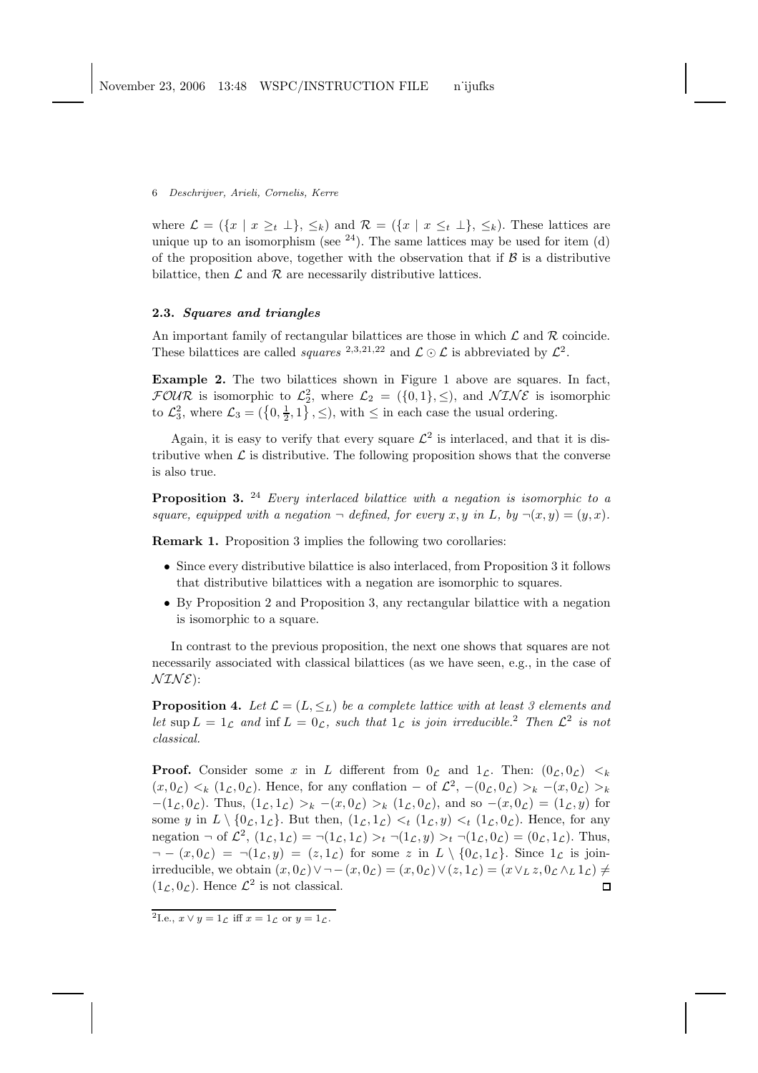where  $\mathcal{L} = (\{x \mid x \geq t \perp\}, \leq_k)$  and  $\mathcal{R} = (\{x \mid x \leq t \perp\}, \leq_k)$ . These lattices are unique up to an isomorphism (see  $24$ ). The same lattices may be used for item (d) of the proposition above, together with the observation that if  $\beta$  is a distributive bilattice, then  $\mathcal L$  and  $\mathcal R$  are necessarily distributive lattices.

## 2.3. Squares and triangles

An important family of rectangular bilattices are those in which  $\mathcal L$  and  $\mathcal R$  coincide. These bilattices are called *squares* <sup>2,3,21,22</sup> and  $\mathcal{L} \odot \mathcal{L}$  is abbreviated by  $\mathcal{L}^2$ .

Example 2. The two bilattices shown in Figure 1 above are squares. In fact, FOUR is isomorphic to  $\mathcal{L}_2^2$ , where  $\mathcal{L}_2 = (\{0,1\}, \leq)$ , and  $NTNE$  is isomorphic to  $\mathcal{L}_3^2$ , where  $\mathcal{L}_3 = (\{0, \frac{1}{2}, 1\}, \leq)$ , with  $\leq$  in each case the usual ordering.

Again, it is easy to verify that every square  $\mathcal{L}^2$  is interlaced, and that it is distributive when  $\mathcal L$  is distributive. The following proposition shows that the converse is also true.

**Proposition 3.** <sup>24</sup> Every interlaced bilattice with a negation is isomorphic to a square, equipped with a negation  $\neg$  defined, for every x, y in L, by  $\neg(x, y) = (y, x)$ .

Remark 1. Proposition 3 implies the following two corollaries:

- Since every distributive bilattice is also interlaced, from Proposition 3 it follows that distributive bilattices with a negation are isomorphic to squares.
- By Proposition 2 and Proposition 3, any rectangular bilattice with a negation is isomorphic to a square.

In contrast to the previous proposition, the next one shows that squares are not necessarily associated with classical bilattices (as we have seen, e.g., in the case of  $NTNE$ ):

**Proposition 4.** Let  $\mathcal{L} = (L, \leq_L)$  be a complete lattice with at least 3 elements and let sup  $L = 1_{\mathcal{L}}$  and inf  $L = 0_{\mathcal{L}}$ , such that  $1_{\mathcal{L}}$  is join irreducible.<sup>2</sup> Then  $\mathcal{L}^2$  is not classical.

**Proof.** Consider some x in L different from  $0<sub>L</sub>$  and  $1<sub>L</sub>$ . Then:  $(0<sub>L</sub>, 0<sub>L</sub>) <sub>L</sub>$  $(x, 0_\mathcal{L}) \lt_k (1_\mathcal{L}, 0_\mathcal{L})$ . Hence, for any conflation – of  $\mathcal{L}^2$ ,  $-(0_\mathcal{L}, 0_\mathcal{L}) \gt_k -(x, 0_\mathcal{L}) \gt_k$  $-(1_{\mathcal{L}}, 0_{\mathcal{L}})$ . Thus,  $(1_{\mathcal{L}}, 1_{\mathcal{L}}) >_{k} -(x, 0_{\mathcal{L}}) >_{k} (1_{\mathcal{L}}, 0_{\mathcal{L}})$ , and so  $-(x, 0_{\mathcal{L}}) = (1_{\mathcal{L}}, y)$  for some y in  $L \setminus \{0_{\mathcal{L}}, 1_{\mathcal{L}}\}.$  But then,  $(1_{\mathcal{L}}, 1_{\mathcal{L}}) <_{t} (1_{\mathcal{L}}, y) <_{t} (1_{\mathcal{L}}, 0_{\mathcal{L}}).$  Hence, for any negation  $\neg$  of  $\mathcal{L}^2$ ,  $(1_{\mathcal{L}}, 1_{\mathcal{L}}) = \neg(1_{\mathcal{L}}, 1_{\mathcal{L}}) >_t \neg(1_{\mathcal{L}}, y) >_t \neg(1_{\mathcal{L}}, 0_{\mathcal{L}}) = (0_{\mathcal{L}}, 1_{\mathcal{L}})$ . Thus,  $\neg - (x, 0<sub>\mathcal{L}</sub>) = \neg(1<sub>\mathcal{L}</sub>, y) = (z, 1<sub>\mathcal{L}</sub>)$  for some z in  $L \setminus \{0<sub>\mathcal{L}</sub>, 1<sub>\mathcal{L}</sub>\}$ . Since  $1<sub>\mathcal{L}</sub>$  is joinirreducible, we obtain  $(x, 0<sub>L</sub>) ∨ ¬-(x, 0<sub>L</sub>) = (x, 0<sub>L</sub>) ∨ (z, 1<sub>L</sub>) = (x ∨_L z, 0<sub>L</sub> ∧_L 1<sub>L</sub>) ≠$ <br>(1<sub>*C*</sub>, 0*<sub>C</sub>*). Hence  $\mathcal{L}^2$  is not classical.  $(1_{\mathcal{L}}, 0_{\mathcal{L}})$ . Hence  $\mathcal{L}^2$  is not classical.

<sup>&</sup>lt;sup>2</sup>I.e.,  $x \vee y = 1_{\mathcal{L}}$  iff  $x = 1_{\mathcal{L}}$  or  $y = 1_{\mathcal{L}}$ .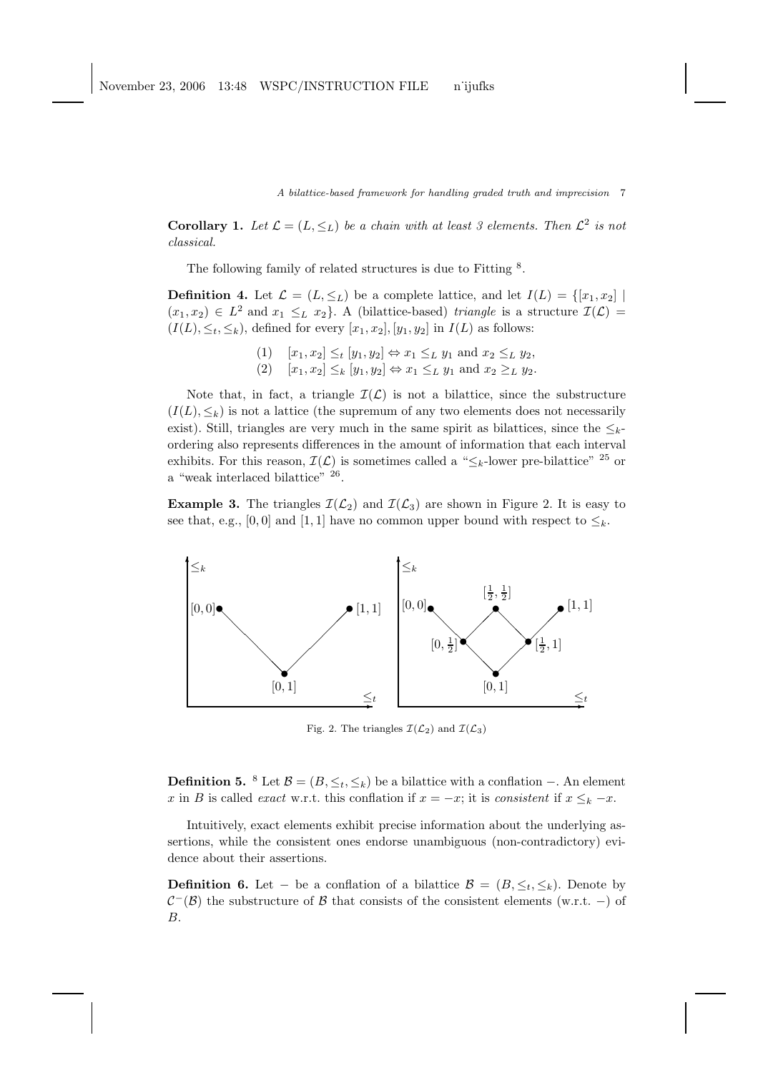**Corollary 1.** Let  $\mathcal{L} = (L, \leq_L)$  be a chain with at least 3 elements. Then  $\mathcal{L}^2$  is not classical.

The following family of related structures is due to Fitting  $8$ .

**Definition 4.** Let  $\mathcal{L} = (L, \leq_L)$  be a complete lattice, and let  $I(L) = \{[x_1, x_2] \mid$  $(x_1, x_2) \in L^2$  and  $x_1 \leq_L x_2$ . A (bilattice-based) triangle is a structure  $\mathcal{I}(\mathcal{L}) =$  $(I(L), \leq_t, \leq_k)$ , defined for every  $[x_1, x_2], [y_1, y_2]$  in  $I(L)$  as follows:

> $(1)$   $[x_1, x_2] \leq_t [y_1, y_2] \Leftrightarrow x_1 \leq_L y_1 \text{ and } x_2 \leq_L y_2,$  $(2)$   $[x_1, x_2] \leq_k [y_1, y_2] \Leftrightarrow x_1 \leq_L y_1 \text{ and } x_2 \geq_L y_2.$

Note that, in fact, a triangle  $\mathcal{I}(\mathcal{L})$  is not a bilattice, since the substructure  $(I(L), \leq_k)$  is not a lattice (the supremum of any two elements does not necessarily exist). Still, triangles are very much in the same spirit as bilattices, since the  $\leq_k$ ordering also represents differences in the amount of information that each interval exhibits. For this reason,  $\mathcal{I}(\mathcal{L})$  is sometimes called a " $\leq_k$ -lower pre-bilattice" <sup>25</sup> or a "weak interlaced bilattice" <sup>26</sup>.

**Example 3.** The triangles  $\mathcal{I}(\mathcal{L}_2)$  and  $\mathcal{I}(\mathcal{L}_3)$  are shown in Figure 2. It is easy to see that, e.g., [0,0] and [1,1] have no common upper bound with respect to  $\leq_k$ .



Fig. 2. The triangles  $\mathcal{I}(\mathcal{L}_2)$  and  $\mathcal{I}(\mathcal{L}_3)$ 

**Definition 5.** <sup>8</sup> Let  $\mathcal{B} = (B, \leq_t, \leq_k)$  be a bilattice with a conflation −. An element x in B is called *exact* w.r.t. this conflation if  $x = -x$ ; it is *consistent* if  $x \leq_k -x$ .

Intuitively, exact elements exhibit precise information about the underlying assertions, while the consistent ones endorse unambiguous (non-contradictory) evidence about their assertions.

**Definition 6.** Let – be a conflation of a bilattice  $\mathcal{B} = (B, \leq_t, \leq_k)$ . Denote by  $C^-(\mathcal{B})$  the substructure of  $\mathcal B$  that consists of the consistent elements (w.r.t. –) of B.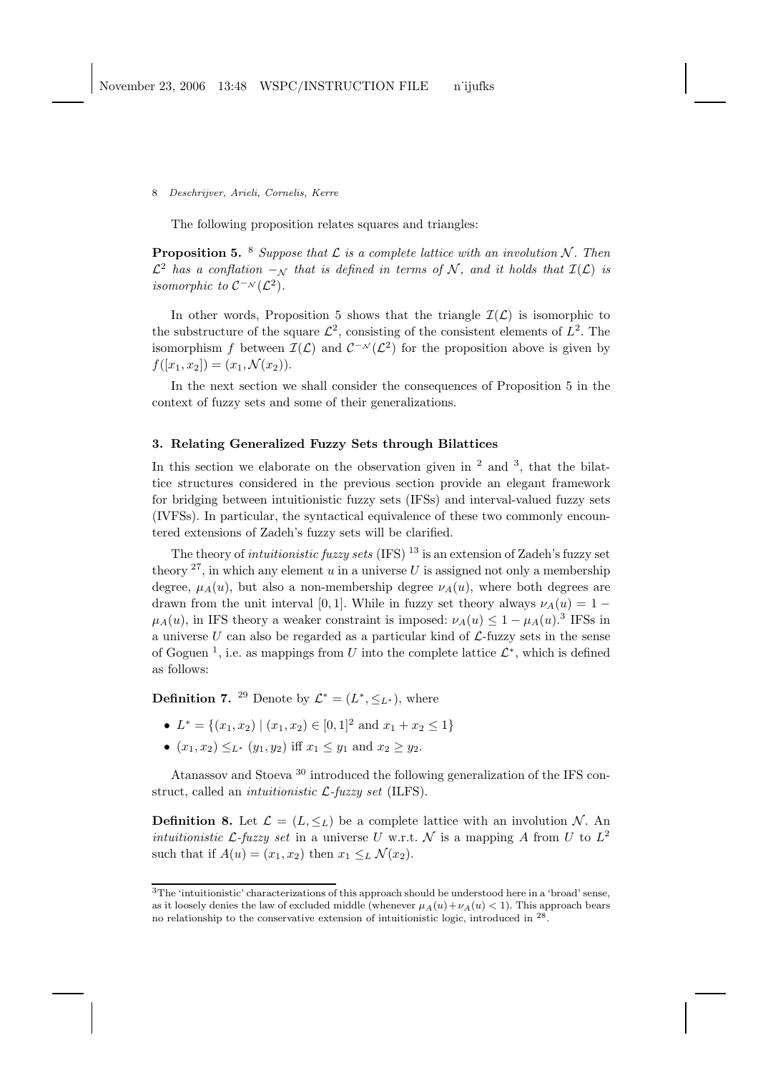The following proposition relates squares and triangles:

**Proposition 5.** <sup>8</sup> Suppose that  $\mathcal{L}$  is a complete lattice with an involution N. Then  $\mathcal{L}^2$  has a conflation  $-\mathcal{N}$  that is defined in terms of  $\mathcal{N}$ , and it holds that  $\mathcal{I}(\mathcal{L})$  is isomorphic to  $C^{-\mathcal{N}}(\mathcal{L}^2)$ .

In other words, Proposition 5 shows that the triangle  $\mathcal{I}(\mathcal{L})$  is isomorphic to the substructure of the square  $\mathcal{L}^2$ , consisting of the consistent elements of  $L^2$ . The isomorphism f between  $\mathcal{I}(\mathcal{L})$  and  $\mathcal{C}^{-\mathcal{N}}(\mathcal{L}^2)$  for the proposition above is given by  $f([x_1, x_2]) = (x_1, \mathcal{N}(x_2)).$ 

In the next section we shall consider the consequences of Proposition 5 in the context of fuzzy sets and some of their generalizations.

# 3. Relating Generalized Fuzzy Sets through Bilattices

In this section we elaborate on the observation given in  $^2$  and  $^3$ , that the bilattice structures considered in the previous section provide an elegant framework for bridging between intuitionistic fuzzy sets (IFSs) and interval-valued fuzzy sets (IVFSs). In particular, the syntactical equivalence of these two commonly encountered extensions of Zadeh's fuzzy sets will be clarified.

The theory of *intuitionistic fuzzy sets* (IFS)  $^{13}$  is an extension of Zadeh's fuzzy set theory  $27$ , in which any element u in a universe U is assigned not only a membership degree,  $\mu_A(u)$ , but also a non-membership degree  $\nu_A(u)$ , where both degrees are drawn from the unit interval [0, 1]. While in fuzzy set theory always  $\nu_A(u) = 1 \mu_A(u)$ , in IFS theory a weaker constraint is imposed:  $\nu_A(u) \leq 1 - \mu_A(u)$ .<sup>3</sup> IFSs in a universe  $U$  can also be regarded as a particular kind of  $\mathcal{L}$ -fuzzy sets in the sense of Goguen<sup>1</sup>, i.e. as mappings from U into the complete lattice  $\mathcal{L}^*$ , which is defined as follows:

**Definition 7.** <sup>29</sup> Denote by  $\mathcal{L}^* = (L^*, \leq_{L^*})$ , where

- $L^* = \{(x_1, x_2) \mid (x_1, x_2) \in [0, 1]^2 \text{ and } x_1 + x_2 \le 1\}$
- $(x_1, x_2) \leq L^* (y_1, y_2)$  iff  $x_1 \leq y_1$  and  $x_2 \geq y_2$ .

Atanassov and Stoeva <sup>30</sup> introduced the following generalization of the IFS construct, called an *intuitionistic*  $\mathcal{L}$ -fuzzy set (ILFS).

**Definition 8.** Let  $\mathcal{L} = (L, \leq_L)$  be a complete lattice with an involution N. An intuitionistic  $\mathcal{L}$ -fuzzy set in a universe U w.r.t. N is a mapping A from U to  $L^2$ such that if  $A(u) = (x_1, x_2)$  then  $x_1 \leq_L \mathcal{N}(x_2)$ .

<sup>&</sup>lt;sup>3</sup>The 'intuitionistic' characterizations of this approach should be understood here in a 'broad' sense, as it loosely denies the law of excluded middle (whenever  $\mu_A(u)+\nu_A(u) < 1$ ). This approach bears no relationship to the conservative extension of intuitionistic logic, introduced in <sup>28</sup> .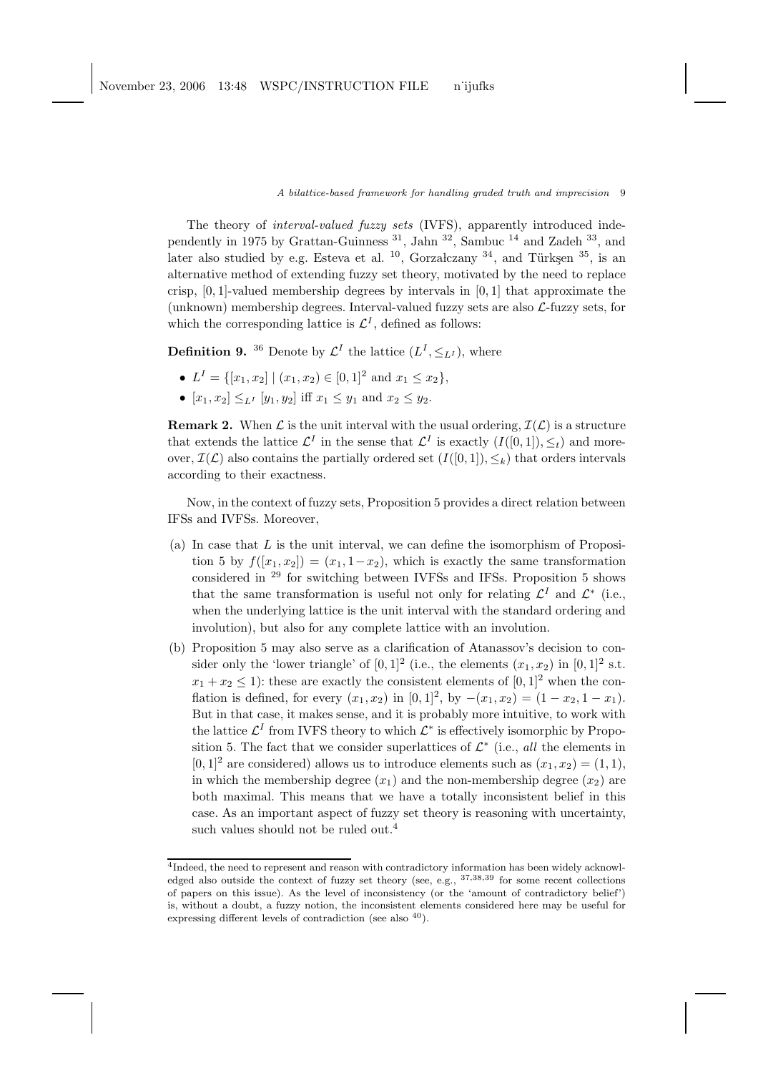The theory of interval-valued fuzzy sets (IVFS), apparently introduced independently in 1975 by Grattan-Guinness <sup>31</sup>, Jahn <sup>32</sup>, Sambuc <sup>14</sup> and Zadeh <sup>33</sup>, and Later also studied by e.g. Esteva et al.  $^{10}$ , Gorzałczany  $^{34}$ , and Türkşen  $^{35}$ , is an alternative method of extending fuzzy set theory, motivated by the need to replace crisp, [0, 1]-valued membership degrees by intervals in [0, 1] that approximate the (unknown) membership degrees. Interval-valued fuzzy sets are also  $\mathcal{L}$ -fuzzy sets, for which the corresponding lattice is  $\mathcal{L}^{I}$ , defined as follows:

**Definition 9.** <sup>36</sup> Denote by  $\mathcal{L}^I$  the lattice  $(L^I, \leq_{L^I})$ , where

- $L^I = \{ [x_1, x_2] \mid (x_1, x_2) \in [0, 1]^2 \text{ and } x_1 \le x_2 \},\$
- $[x_1, x_2] \leq_{L^1} [y_1, y_2]$  iff  $x_1 \leq y_1$  and  $x_2 \leq y_2$ .

**Remark 2.** When  $\mathcal{L}$  is the unit interval with the usual ordering,  $\mathcal{I}(\mathcal{L})$  is a structure that extends the lattice  $\mathcal{L}^{I}$  in the sense that  $\mathcal{L}^{I}$  is exactly  $(I([0,1]), \leq_{t})$  and moreover,  $\mathcal{I}(\mathcal{L})$  also contains the partially ordered set  $(I([0, 1]), \leq_k)$  that orders intervals according to their exactness.

Now, in the context of fuzzy sets, Proposition 5 provides a direct relation between IFSs and IVFSs. Moreover,

- (a) In case that  $L$  is the unit interval, we can define the isomorphism of Proposition 5 by  $f([x_1, x_2]) = (x_1, 1-x_2)$ , which is exactly the same transformation considered in <sup>29</sup> for switching between IVFSs and IFSs. Proposition 5 shows that the same transformation is useful not only for relating  $\mathcal{L}^I$  and  $\mathcal{L}^*$  (i.e., when the underlying lattice is the unit interval with the standard ordering and involution), but also for any complete lattice with an involution.
- (b) Proposition 5 may also serve as a clarification of Atanassov's decision to consider only the 'lower triangle' of  $[0,1]^2$  (i.e., the elements  $(x_1, x_2)$  in  $[0,1]^2$  s.t.  $x_1 + x_2 \leq 1$ : these are exactly the consistent elements of  $[0, 1]^2$  when the conflation is defined, for every  $(x_1, x_2)$  in  $[0, 1]^2$ , by  $-(x_1, x_2) = (1 - x_2, 1 - x_1)$ . But in that case, it makes sense, and it is probably more intuitive, to work with the lattice  $\mathcal{L}^I$  from IVFS theory to which  $\mathcal{L}^*$  is effectively isomorphic by Proposition 5. The fact that we consider superlattices of  $\mathcal{L}^*$  (i.e., all the elements in  $[0, 1]^2$  are considered) allows us to introduce elements such as  $(x_1, x_2) = (1, 1)$ , in which the membership degree  $(x_1)$  and the non-membership degree  $(x_2)$  are both maximal. This means that we have a totally inconsistent belief in this case. As an important aspect of fuzzy set theory is reasoning with uncertainty, such values should not be ruled out.<sup>4</sup>

<sup>&</sup>lt;sup>4</sup>Indeed, the need to represent and reason with contradictory information has been widely acknowledged also outside the context of fuzzy set theory (see, e.g.,  $37,38,39$  for some recent collections of papers on this issue). As the level of inconsistency (or the 'amount of contradictory belief') is, without a doubt, a fuzzy notion, the inconsistent elements considered here may be useful for expressing different levels of contradiction (see also <sup>40</sup>).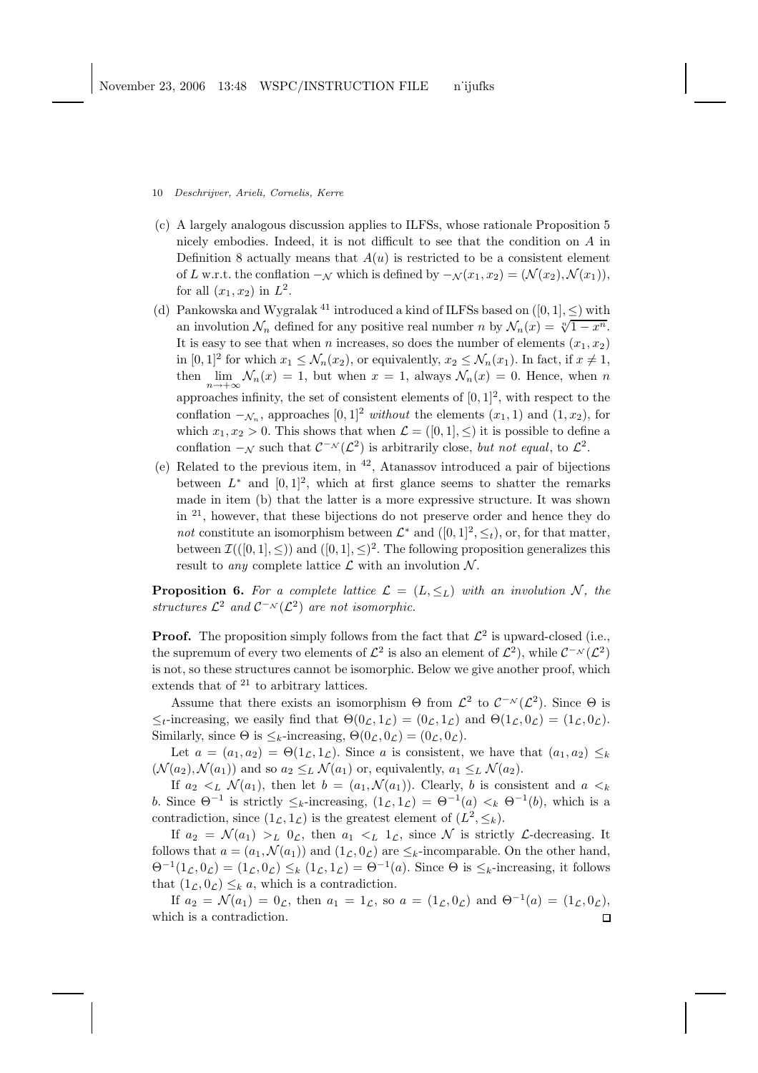- (c) A largely analogous discussion applies to ILFSs, whose rationale Proposition 5 nicely embodies. Indeed, it is not difficult to see that the condition on A in Definition 8 actually means that  $A(u)$  is restricted to be a consistent element of L w.r.t. the conflation  $-\mathcal{N}$  which is defined by  $-\mathcal{N}(x_1, x_2) = (\mathcal{N}(x_2), \mathcal{N}(x_1)),$ for all  $(x_1, x_2)$  in  $L^2$ .
- (d) Pankowska and Wygralak<sup>41</sup> introduced a kind of ILFSs based on  $([0, 1], \leq)$  with an involution  $\mathcal{N}_n$  defined for any positive real number n by  $\mathcal{N}_n(x) = \sqrt[n]{1-x^n}$ . It is easy to see that when n increases, so does the number of elements  $(x_1, x_2)$ in  $[0,1]^2$  for which  $x_1 \leq \mathcal{N}_n(x_2)$ , or equivalently,  $x_2 \leq \mathcal{N}_n(x_1)$ . In fact, if  $x \neq 1$ , then  $\lim_{n \to +\infty} \mathcal{N}_n(x) = 1$ , but when  $x = 1$ , always  $\mathcal{N}_n(x) = 0$ . Hence, when n approaches infinity, the set of consistent elements of  $[0,1]^2$ , with respect to the conflation  $-\mathcal{N}_n$ , approaches  $[0, 1]^2$  without the elements  $(x_1, 1)$  and  $(1, x_2)$ , for which  $x_1, x_2 > 0$ . This shows that when  $\mathcal{L} = ([0, 1], \leq)$  it is possible to define a conflation  $-\mathcal{N}$  such that  $C^{-\mathcal{N}}(\mathcal{L}^2)$  is arbitrarily close, *but not equal*, to  $\mathcal{L}^2$ .
- (e) Related to the previous item, in  $42$ , Atanassov introduced a pair of bijections between  $L^*$  and  $[0, 1]^2$ , which at first glance seems to shatter the remarks made in item (b) that the latter is a more expressive structure. It was shown in <sup>21</sup>, however, that these bijections do not preserve order and hence they do *not* constitute an isomorphism between  $\mathcal{L}^*$  and  $([0,1]^2, \leq_t)$ , or, for that matter, between  $\mathcal{I}(([0,1], \leq))$  and  $([0,1], \leq)^2$ . The following proposition generalizes this result to *any* complete lattice  $\mathcal L$  with an involution  $\mathcal N$ .

**Proposition 6.** For a complete lattice  $\mathcal{L} = (L, \leq_L)$  with an involution N, the structures  $\mathcal{L}^2$  and  $\mathcal{C}^{-N}(\mathcal{L}^2)$  are not isomorphic.

**Proof.** The proposition simply follows from the fact that  $\mathcal{L}^2$  is upward-closed (i.e., the supremum of every two elements of  $\mathcal{L}^2$  is also an element of  $\mathcal{L}^2$ ), while  $\mathcal{C}^{-\mathcal{N}}(\mathcal{L}^2)$ is not, so these structures cannot be isomorphic. Below we give another proof, which extends that of  $2<sup>1</sup>$  to arbitrary lattices.

Assume that there exists an isomorphism  $\Theta$  from  $\mathcal{L}^2$  to  $\mathcal{C}^{-\mathcal{N}}(\mathcal{L}^2)$ . Since  $\Theta$  is  $\leq_t$ -increasing, we easily find that  $\Theta(0_\mathcal{L}, 1_\mathcal{L}) = (0_\mathcal{L}, 1_\mathcal{L})$  and  $\Theta(1_\mathcal{L}, 0_\mathcal{L}) = (1_\mathcal{L}, 0_\mathcal{L})$ . Similarly, since  $\Theta$  is  $\leq_k$ -increasing,  $\Theta(0_\mathcal{L}, 0_\mathcal{L}) = (0_\mathcal{L}, 0_\mathcal{L})$ .

Let  $a = (a_1, a_2) = \Theta(1_{\mathcal{L}}, 1_{\mathcal{L}})$ . Since a is consistent, we have that  $(a_1, a_2) \leq k$  $(\mathcal{N}(a_2), \mathcal{N}(a_1))$  and so  $a_2 \leq_L \mathcal{N}(a_1)$  or, equivalently,  $a_1 \leq_L \mathcal{N}(a_2)$ .

If  $a_2 \lt_L \mathcal{N}(a_1)$ , then let  $b = (a_1, \mathcal{N}(a_1))$ . Clearly, b is consistent and  $a \lt_k$ b. Since  $\Theta^{-1}$  is strictly  $\leq_k$ -increasing,  $(1_{\mathcal{L}}, 1_{\mathcal{L}}) = \Theta^{-1}(a) \leq_k \Theta^{-1}(b)$ , which is a contradiction, since  $(1_{\mathcal{L}}, 1_{\mathcal{L}})$  is the greatest element of  $(L^2, \leq_k)$ .

If  $a_2 = \mathcal{N}(a_1) >_L 0_{\mathcal{L}}$ , then  $a_1 <_L 1_{\mathcal{L}}$ , since N is strictly  $\mathcal{L}$ -decreasing. It follows that  $a = (a_1, \mathcal{N}(a_1))$  and  $(1_{\mathcal{L}}, 0_{\mathcal{L}})$  are  $\leq_k$ -incomparable. On the other hand,  $\Theta^{-1}(1_{\mathcal{L}}, 0_{\mathcal{L}}) = (1_{\mathcal{L}}, 0_{\mathcal{L}}) \leq_k (1_{\mathcal{L}}, 1_{\mathcal{L}}) = \Theta^{-1}(a)$ . Since  $\Theta$  is  $\leq_k$ -increasing, it follows that  $(1_{\mathcal{L}}, 0_{\mathcal{L}}) \leq_k a$ , which is a contradiction.

If  $a_2 = \mathcal{N}(a_1) = 0_{\mathcal{L}}$ , then  $a_1 = 1_{\mathcal{L}}$ , so  $a = (1_{\mathcal{L}}, 0_{\mathcal{L}})$  and  $\Theta^{-1}(a) = (1_{\mathcal{L}}, 0_{\mathcal{L}})$ , which is a contradiction. $\Box$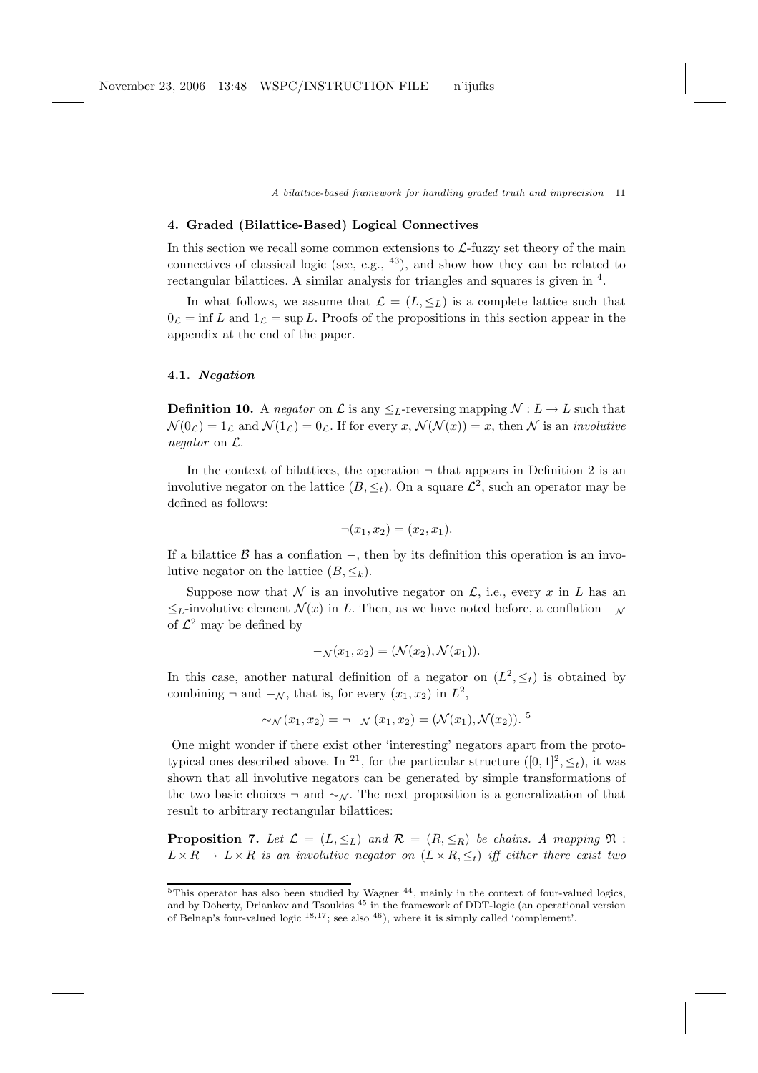## 4. Graded (Bilattice-Based) Logical Connectives

In this section we recall some common extensions to  $\mathcal{L}$ -fuzzy set theory of the main connectives of classical logic (see, e.g., <sup>43</sup>), and show how they can be related to rectangular bilattices. A similar analysis for triangles and squares is given in  $4$ .

In what follows, we assume that  $\mathcal{L} = (L, \leq_L)$  is a complete lattice such that  $0_{\mathcal{L}} = \inf L$  and  $1_{\mathcal{L}} = \sup L$ . Proofs of the propositions in this section appear in the appendix at the end of the paper.

# 4.1. Negation

**Definition 10.** A negator on  $\mathcal{L}$  is any  $\leq_L$ -reversing mapping  $\mathcal{N}: L \to L$  such that  $\mathcal{N}(0_{\mathcal{L}}) = 1_{\mathcal{L}}$  and  $\mathcal{N}(1_{\mathcal{L}}) = 0_{\mathcal{L}}$ . If for every x,  $\mathcal{N}(\mathcal{N}(x)) = x$ , then  $\mathcal{N}$  is an *involutive* negator on L.

In the context of bilattices, the operation  $\neg$  that appears in Definition 2 is an involutive negator on the lattice  $(B, \leq_t)$ . On a square  $\mathcal{L}^2$ , such an operator may be defined as follows:

$$
\neg (x_1, x_2) = (x_2, x_1).
$$

If a bilattice  $\beta$  has a conflation –, then by its definition this operation is an involutive negator on the lattice  $(B, \leq_k)$ .

Suppose now that N is an involutive negator on  $\mathcal{L}$ , i.e., every x in L has an  $\leq_L$ -involutive element  $\mathcal{N}(x)$  in L. Then, as we have noted before, a conflation  $-\mathcal{N}(x)$ of  $\mathcal{L}^2$  may be defined by

$$
-\mathcal{N}(x_1,x_2)=(\mathcal{N}(x_2),\mathcal{N}(x_1)).
$$

In this case, another natural definition of a negator on  $(L^2, \leq_t)$  is obtained by combining  $\neg$  and  $-\mathcal{N}$ , that is, for every  $(x_1, x_2)$  in  $L^2$ ,

$$
\sim_{\mathcal{N}}(x_1, x_2) = \neg -_{\mathcal{N}}(x_1, x_2) = (\mathcal{N}(x_1), \mathcal{N}(x_2)).
$$
<sup>5</sup>

One might wonder if there exist other 'interesting' negators apart from the prototypical ones described above. In <sup>21</sup>, for the particular structure  $([0, 1]^2, \leq_t)$ , it was shown that all involutive negators can be generated by simple transformations of the two basic choices  $\neg$  and  $\sim_{\mathcal{N}}$ . The next proposition is a generalization of that result to arbitrary rectangular bilattices:

**Proposition 7.** Let  $\mathcal{L} = (L, \leq_L)$  and  $\mathcal{R} = (R, \leq_R)$  be chains. A mapping  $\mathfrak{N}$ :  $L \times R \rightarrow L \times R$  is an involutive negator on  $(L \times R, \leq_t)$  iff either there exist two

 $5$ This operator has also been studied by Wagner  $44$ , mainly in the context of four-valued logics, and by Doherty, Driankov and Tsoukias <sup>45</sup> in the framework of DDT-logic (an operational version of Belnap's four-valued logic <sup>18</sup>,17; see also <sup>46</sup>), where it is simply called 'complement'.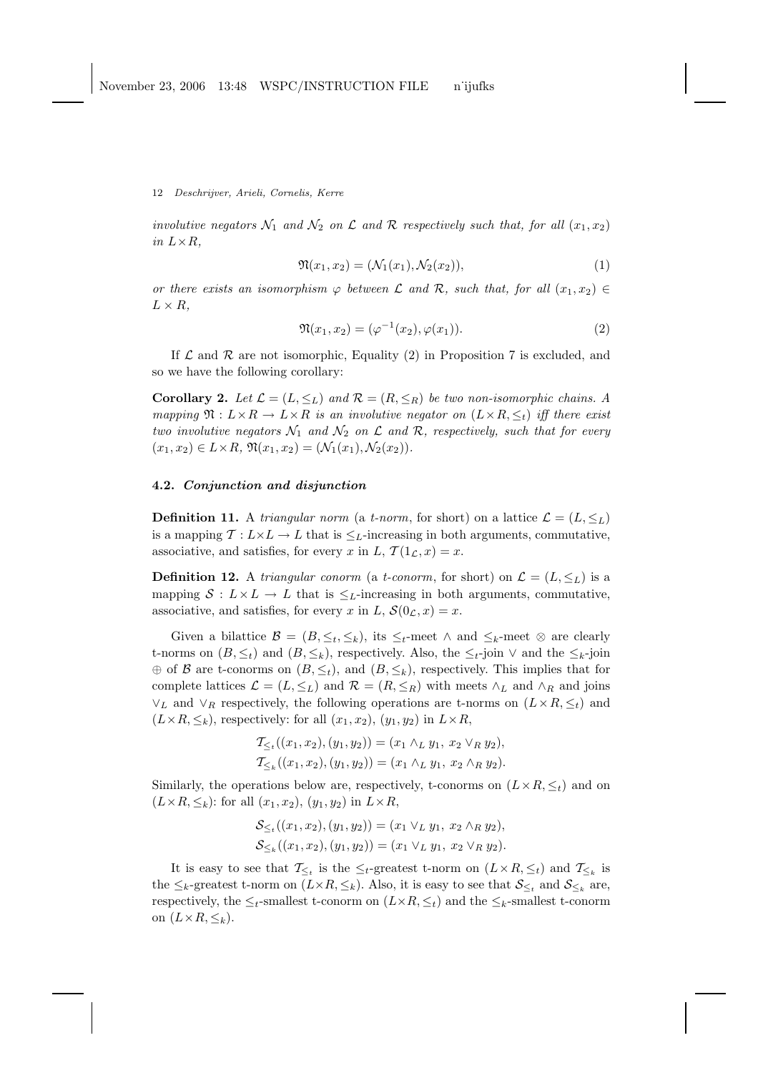involutive negators  $\mathcal{N}_1$  and  $\mathcal{N}_2$  on  $\mathcal L$  and  $\mathcal R$  respectively such that, for all  $(x_1, x_2)$ in  $L \times R$ ,

$$
\mathfrak{N}(x_1, x_2) = (\mathcal{N}_1(x_1), \mathcal{N}_2(x_2)),\tag{1}
$$

or there exists an isomorphism  $\varphi$  between  $\mathcal L$  and  $\mathcal R$ , such that, for all  $(x_1, x_2) \in$  $L \times R$ ,

$$
\mathfrak{N}(x_1, x_2) = (\varphi^{-1}(x_2), \varphi(x_1)). \tag{2}
$$

If  $\mathcal L$  and  $\mathcal R$  are not isomorphic, Equality (2) in Proposition 7 is excluded, and so we have the following corollary:

**Corollary 2.** Let  $\mathcal{L} = (L, \leq_L)$  and  $\mathcal{R} = (R, \leq_R)$  be two non-isomorphic chains. A mapping  $\mathfrak{N}: L \times R \to L \times R$  is an involutive negator on  $(L \times R, \leq_t)$  iff there exist two involutive negators  $\mathcal{N}_1$  and  $\mathcal{N}_2$  on  $\mathcal L$  and  $\mathcal R$ , respectively, such that for every  $(x_1, x_2) \in L \times R$ ,  $\mathfrak{N}(x_1, x_2) = (\mathcal{N}_1(x_1), \mathcal{N}_2(x_2))$ .

### 4.2. Conjunction and disjunction

**Definition 11.** A triangular norm (a t-norm, for short) on a lattice  $\mathcal{L} = (L, \leq_L)$ is a mapping  $\mathcal{T}: L \times L \to L$  that is  $\leq_L$ -increasing in both arguments, commutative, associative, and satisfies, for every x in L,  $\mathcal{T}(1_{\mathcal{L}},x)=x$ .

**Definition 12.** A triangular conorm (a t-conorm, for short) on  $\mathcal{L} = (L, \leq_L)$  is a mapping  $S: L \times L \to L$  that is  $\leq_L$ -increasing in both arguments, commutative, associative, and satisfies, for every x in L,  $\mathcal{S}(0_{\mathcal{L}}, x) = x$ .

Given a bilattice  $\mathcal{B} = (B, \leq_t, \leq_k)$ , its  $\leq_t$ -meet  $\wedge$  and  $\leq_k$ -meet  $\otimes$  are clearly t-norms on  $(B, \leq_t)$  and  $(B, \leq_k)$ , respectively. Also, the  $\leq_t$ -join  $\vee$  and the  $\leq_k$ -join  $\oplus$  of  $\mathcal B$  are t-conorms on  $(B, \leq_t)$ , and  $(B, \leq_k)$ , respectively. This implies that for complete lattices  $\mathcal{L} = (L, \leq_L)$  and  $\mathcal{R} = (R, \leq_R)$  with meets  $\wedge_L$  and  $\wedge_R$  and joins  $\vee_L$  and  $\vee_R$  respectively, the following operations are t-norms on  $(L \times R, \leq_t)$  and  $(L \times R, \leq_k)$ , respectively: for all  $(x_1, x_2)$ ,  $(y_1, y_2)$  in  $L \times R$ ,

$$
\mathcal{T}_{\leq_t}((x_1,x_2),(y_1,y_2))=(x_1 \wedge_L y_1, x_2 \vee_R y_2),
$$
  

$$
\mathcal{T}_{\leq_k}((x_1,x_2),(y_1,y_2))=(x_1 \wedge_L y_1, x_2 \wedge_R y_2).
$$

Similarly, the operations below are, respectively, t-conorms on  $(L \times R, \leq_t)$  and on  $(L\times R, \leq_k)$ : for all  $(x_1, x_2), (y_1, y_2)$  in  $L\times R$ ,

$$
\mathcal{S}_{\leq t}((x_1, x_2), (y_1, y_2)) = (x_1 \vee_L y_1, x_2 \wedge_R y_2),
$$
  

$$
\mathcal{S}_{\leq t}((x_1, x_2), (y_1, y_2)) = (x_1 \vee_L y_1, x_2 \vee_R y_2).
$$

It is easy to see that  $\mathcal{T}_{\leq t}$  is the  $\leq_t$ -greatest t-norm on  $(L \times R, \leq_t)$  and  $\mathcal{T}_{\leq_k}$  is the  $\leq_k$ -greatest t-norm on  $(L \times R, \leq_k)$ . Also, it is easy to see that  $\mathcal{S}_{\leq_k}$  and  $\mathcal{S}_{\leq_k}$  are, respectively, the  $\leq_t$ -smallest t-conorm on  $(L \times R, \leq_t)$  and the  $\leq_k$ -smallest t-conorm on  $(L \times R, \leq_k)$ .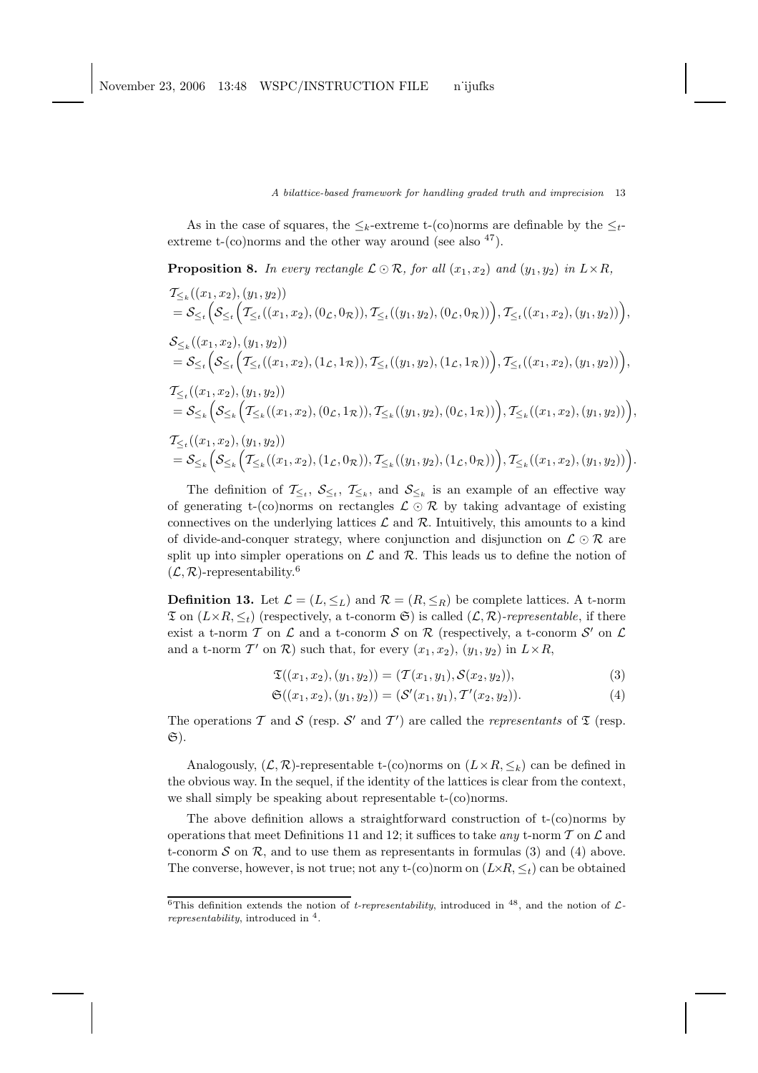As in the case of squares, the  $\leq_k$ -extreme t-(co)norms are definable by the  $\leq_t$ extreme t-(co)norms and the other way around (see also  $47$ ).

**Proposition 8.** In every rectangle  $\mathcal{L} \odot \mathcal{R}$ , for all  $(x_1, x_2)$  and  $(y_1, y_2)$  in  $L \times R$ ,

$$
T_{\leq_k}((x_1, x_2), (y_1, y_2))
$$
  
\n
$$
= S_{\leq_t} \Big( S_{\leq_t} \Big( T_{\leq_t}((x_1, x_2), (0_{\mathcal{L}}, 0_{\mathcal{R}})), T_{\leq_t}((y_1, y_2), (0_{\mathcal{L}}, 0_{\mathcal{R}})) \Big), T_{\leq_t}((x_1, x_2), (y_1, y_2)) \Big),
$$
  
\n
$$
S_{\leq_k}((x_1, x_2), (y_1, y_2))
$$
  
\n
$$
= S_{\leq_t} \Big( S_{\leq_t} \Big( T_{\leq_t}((x_1, x_2), (1_{\mathcal{L}}, 1_{\mathcal{R}})), T_{\leq_t}((y_1, y_2), (1_{\mathcal{L}}, 1_{\mathcal{R}})) \Big), T_{\leq_t}((x_1, x_2), (y_1, y_2)) \Big),
$$
  
\n
$$
T_{\leq_t}((x_1, x_2), (y_1, y_2))
$$
  
\n
$$
= S_{\leq_k} \Big( S_{\leq_k} \Big( T_{\leq_k}((x_1, x_2), (0_{\mathcal{L}}, 1_{\mathcal{R}})), T_{\leq_k}((y_1, y_2), (0_{\mathcal{L}}, 1_{\mathcal{R}})) \Big), T_{\leq_k}((x_1, x_2), (y_1, y_2)) \Big),
$$
  
\n
$$
T_{\leq_t}((x_1, x_2), (y_1, y_2))
$$
  
\n
$$
= S_{\leq_k} \Big( S_{\leq_k} \Big( T_{\leq_k}((x_1, x_2), (1_{\mathcal{L}}, 0_{\mathcal{R}})), T_{\leq_k}((y_1, y_2), (1_{\mathcal{L}}, 0_{\mathcal{R}})) \Big), T_{\leq_k}((x_1, x_2), (y_1, y_2)) \Big).
$$

The definition of  $\mathcal{T}_{\leq_t}, \mathcal{S}_{\leq_t}, \mathcal{T}_{\leq_k}$ , and  $\mathcal{S}_{\leq_k}$  is an example of an effective way of generating t-(co)norms on rectangles  $\mathcal{L} \odot \mathcal{R}$  by taking advantage of existing connectives on the underlying lattices  $\mathcal L$  and  $\mathcal R$ . Intuitively, this amounts to a kind of divide-and-conquer strategy, where conjunction and disjunction on  $\mathcal{L} \odot \mathcal{R}$  are split up into simpler operations on  $\mathcal L$  and  $\mathcal R$ . This leads us to define the notion of  $(\mathcal{L}, \mathcal{R})$ -representability.<sup>6</sup>

**Definition 13.** Let  $\mathcal{L} = (L, \leq_L)$  and  $\mathcal{R} = (R, \leq_R)$  be complete lattices. A t-norm  $\mathfrak T$  on  $(L\times R, \leq_t)$  (respectively, a t-conorm  $\mathfrak S$ ) is called  $(\mathcal L, \mathcal R)$ -representable, if there exist a t-norm  $\mathcal T$  on  $\mathcal L$  and a t-conorm  $\mathcal S$  on  $\mathcal R$  (respectively, a t-conorm  $\mathcal S'$  on  $\mathcal L$ and a t-norm  $\mathcal{T}'$  on  $\mathcal{R}$ ) such that, for every  $(x_1, x_2)$ ,  $(y_1, y_2)$  in  $L \times R$ ,

$$
\mathfrak{T}((x_1, x_2), (y_1, y_2)) = (\mathcal{T}(x_1, y_1), \mathcal{S}(x_2, y_2)),
$$
\n(3)

$$
\mathfrak{S}((x_1, x_2), (y_1, y_2)) = (\mathcal{S}'(x_1, y_1), T'(x_2, y_2)).
$$
\n(4)

The operations  $T$  and  $S$  (resp.  $S'$  and  $T'$ ) are called the *representants* of  $\mathfrak T$  (resp.  $\mathfrak{S}$ ).

Analogously,  $(\mathcal{L}, \mathcal{R})$ -representable t-(co)norms on  $(L \times R, \leq_k)$  can be defined in the obvious way. In the sequel, if the identity of the lattices is clear from the context, we shall simply be speaking about representable  $t-(\infty)$  norms.

The above definition allows a straightforward construction of t-(co)norms by operations that meet Definitions 11 and 12; it suffices to take any t-norm  $\mathcal T$  on  $\mathcal L$  and t-conorm S on R, and to use them as representants in formulas (3) and (4) above. The converse, however, is not true; not any t-(co)norm on  $(L\times R, \leq_t)$  can be obtained

<sup>&</sup>lt;sup>6</sup>This definition extends the notion of *t-representability*, introduced in <sup>48</sup>, and the notion of  $\mathcal{L}$ representability, introduced in  $4$ .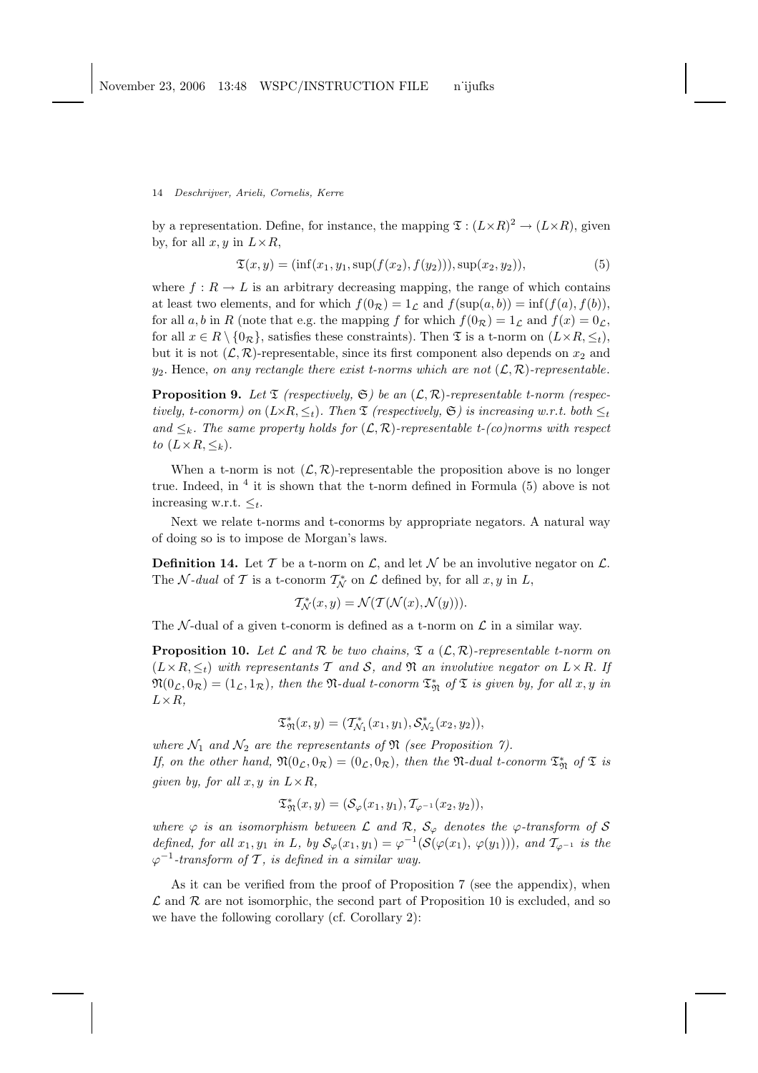by a representation. Define, for instance, the mapping  $\mathfrak{T} : (L \times R)^2 \to (L \times R)$ , given by, for all  $x, y$  in  $L \times R$ ,

$$
\mathfrak{T}(x,y) = (\inf(x_1, y_1, \sup(f(x_2), f(y_2))), \sup(x_2, y_2)), \tag{5}
$$

where  $f: R \to L$  is an arbitrary decreasing mapping, the range of which contains at least two elements, and for which  $f(0_R) = 1_L$  and  $f(\text{sup}(a, b)) = \inf (f(a), f(b)),$ for all a, b in R (note that e.g. the mapping f for which  $f(0_R) = 1_L$  and  $f(x) = 0_L$ , for all  $x \in R \setminus \{0_R\}$ , satisfies these constraints). Then  $\mathfrak T$  is a t-norm on  $(L \times R, \leq_t)$ , but it is not  $(\mathcal{L}, \mathcal{R})$ -representable, since its first component also depends on  $x_2$  and  $y_2$ . Hence, on any rectangle there exist t-norms which are not  $(\mathcal{L}, \mathcal{R})$ -representable.

**Proposition 9.** Let  $\mathfrak{T}$  (respectively,  $\mathfrak{S}$ ) be an  $(\mathcal{L}, \mathcal{R})$ -representable t-norm (respectively, t-conorm) on  $(L\times R, \leq_t)$ . Then  $\mathfrak T$  (respectively,  $\mathfrak S$ ) is increasing w.r.t. both  $\leq_t$ and  $\leq_k$ . The same property holds for  $(\mathcal{L}, \mathcal{R})$ -representable t-(co)norms with respect to  $(L \times R, \leq_k)$ .

When a t-norm is not  $(\mathcal{L}, \mathcal{R})$ -representable the proposition above is no longer true. Indeed, in  $4$  it is shown that the t-norm defined in Formula  $(5)$  above is not increasing w.r.t.  $\leq_t$ .

Next we relate t-norms and t-conorms by appropriate negators. A natural way of doing so is to impose de Morgan's laws.

**Definition 14.** Let T be a t-norm on  $\mathcal{L}$ , and let N be an involutive negator on  $\mathcal{L}$ . The N-dual of T is a t-conorm  $\mathcal{T}_\mathcal{N}^*$  on  $\mathcal L$  defined by, for all  $x, y$  in  $L$ ,

$$
\mathcal{T}^*_{\mathcal{N}}(x, y) = \mathcal{N}(\mathcal{T}(\mathcal{N}(x), \mathcal{N}(y))).
$$

The N-dual of a given t-conorm is defined as a t-norm on  $\mathcal L$  in a similar way.

**Proposition 10.** Let  $\mathcal L$  and  $\mathcal R$  be two chains,  $\mathcal I_a$  a  $(\mathcal L, \mathcal R)$ -representable t-norm on  $(L \times R, \leq_t)$  with representants T and S, and N an involutive negator on  $L \times R$ . If  $\mathfrak{N}(0_\mathcal{L},0_\mathcal{R})=(1_\mathcal{L},1_\mathcal{R})$ , then the  $\mathfrak{N}\text{-}dual$  t-conorm  $\mathfrak{T}^*_{\mathfrak{N}}$  of  $\mathfrak{T}$  is given by, for all  $x,y$  in  $L \times R$ ,

$$
\mathfrak{T}^*_{\mathfrak{N}}(x,y)=(\mathcal{T}^*_{\mathcal{N}_1}(x_1,y_1),\mathcal{S}^*_{\mathcal{N}_2}(x_2,y_2)),
$$

where  $\mathcal{N}_1$  and  $\mathcal{N}_2$  are the representants of  $\mathfrak{N}$  (see Proposition 7). If, on the other hand,  $\mathfrak{N}(0_\mathcal{L},0_\mathcal{R})=(0_\mathcal{L},0_\mathcal{R})$ , then the  $\mathfrak{N}\text{-}dual$  t-conorm  $\mathfrak{T}^*_{\mathfrak{N}}$  of  $\mathfrak{T}$  is given by, for all  $x, y$  in  $L \times R$ ,

$$
\mathfrak{T}^*_{\mathfrak{N}}(x,y)=(\mathcal{S}_{\varphi}(x_1,y_1),\mathcal{T}_{\varphi^{-1}}(x_2,y_2)),
$$

where  $\varphi$  is an isomorphism between  $\mathcal L$  and  $\mathcal R$ ,  $\mathcal S_{\varphi}$  denotes the  $\varphi$ -transform of S defined, for all  $x_1, y_1$  in L, by  $\mathcal{S}_{\varphi}(x_1, y_1) = \varphi^{-1}(\mathcal{S}(\varphi(x_1), \varphi(y_1))),$  and  $\mathcal{T}_{\varphi^{-1}}$  is the  $\varphi^{-1}$ -transform of T, is defined in a similar way.

As it can be verified from the proof of Proposition 7 (see the appendix), when  $\mathcal L$  and  $\mathcal R$  are not isomorphic, the second part of Proposition 10 is excluded, and so we have the following corollary (cf. Corollary 2):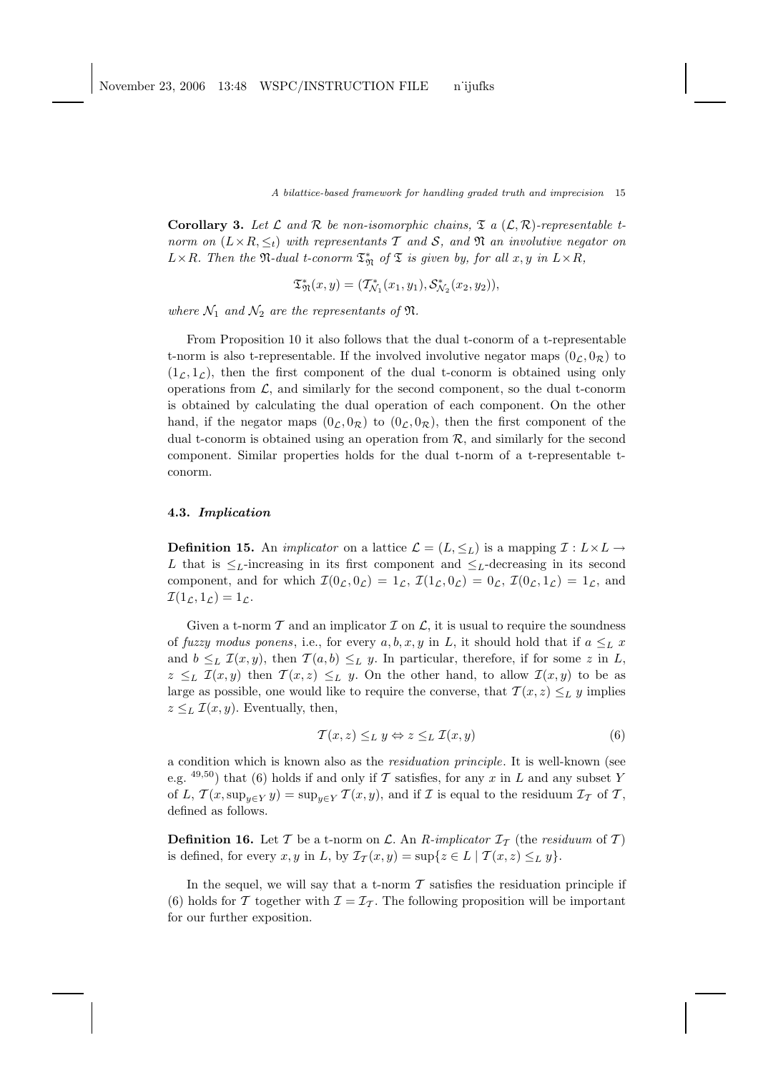**Corollary 3.** Let  $\mathcal L$  and  $\mathcal R$  be non-isomorphic chains,  $\mathcal I$  a  $(\mathcal L, \mathcal R)$ -representable tnorm on  $(L \times R, \leq_t)$  with representants T and S, and N an involutive negator on  $L \times R$ . Then the  $\mathfrak{N}\text{-}dual$  t-conorm  $\mathfrak{T}^*_{\mathfrak{N}}$  of  $\mathfrak{T}$  is given by, for all  $x, y$  in  $L \times R$ ,

$$
\mathfrak{T}^*_{\mathfrak{N}}(x,y)=(\mathcal{T}^*_{\mathcal{N}_1}(x_1,y_1),\mathcal{S}^*_{\mathcal{N}_2}(x_2,y_2)),
$$

where  $\mathcal{N}_1$  and  $\mathcal{N}_2$  are the representants of  $\mathfrak{N}$ .

From Proposition 10 it also follows that the dual t-conorm of a t-representable t-norm is also t-representable. If the involved involutive negator maps  $(0<sub>L</sub>, 0<sub>R</sub>)$  to  $(1<sub>c</sub>, 1<sub>c</sub>)$ , then the first component of the dual t-conorm is obtained using only operations from  $\mathcal{L}$ , and similarly for the second component, so the dual t-conorm is obtained by calculating the dual operation of each component. On the other hand, if the negator maps  $(0_\mathcal{L}, 0_\mathcal{R})$  to  $(0_\mathcal{L}, 0_\mathcal{R})$ , then the first component of the dual t-conorm is obtained using an operation from  $R$ , and similarly for the second component. Similar properties holds for the dual t-norm of a t-representable tconorm.

# 4.3. Implication

**Definition 15.** An *implicator* on a lattice  $\mathcal{L} = (L, \leq_L)$  is a mapping  $\mathcal{I}: L \times L \rightarrow$ L that is  $\leq_L$ -increasing in its first component and  $\leq_L$ -decreasing in its second component, and for which  $\mathcal{I}(0_{\mathcal{L}}, 0_{\mathcal{L}}) = 1_{\mathcal{L}}, \mathcal{I}(1_{\mathcal{L}}, 0_{\mathcal{L}}) = 0_{\mathcal{L}}, \mathcal{I}(0_{\mathcal{L}}, 1_{\mathcal{L}}) = 1_{\mathcal{L}},$  and  $\mathcal{I}(1_{\mathcal{L}}, 1_{\mathcal{L}}) = 1_{\mathcal{L}}.$ 

Given a t-norm  $\mathcal T$  and an implicator  $\mathcal I$  on  $\mathcal L$ , it is usual to require the soundness of fuzzy modus ponens, i.e., for every a, b, x, y in L, it should hold that if  $a \leq_L x$ and  $b \leq_L \mathcal{I}(x, y)$ , then  $\mathcal{T}(a, b) \leq_L y$ . In particular, therefore, if for some z in L,  $z \leq_L \mathcal{I}(x, y)$  then  $\mathcal{T}(x, z) \leq_L y$ . On the other hand, to allow  $\mathcal{I}(x, y)$  to be as large as possible, one would like to require the converse, that  $T(x, z) \leq_L y$  implies  $z \leq_L \mathcal{I}(x, y)$ . Eventually, then,

$$
\mathcal{T}(x,z) \leq_L y \Leftrightarrow z \leq_L \mathcal{I}(x,y) \tag{6}
$$

a condition which is known also as the residuation principle. It is well-known (see e.g.  $49,50)$  that (6) holds if and only if T satisfies, for any x in L and any subset Y of L,  $\mathcal{T}(x, \sup_{y \in Y} y) = \sup_{y \in Y} \mathcal{T}(x, y)$ , and if  $\mathcal I$  is equal to the residuum  $\mathcal I_T$  of  $\mathcal T$ , defined as follows.

**Definition 16.** Let T be a t-norm on L. An R-implicator  $\mathcal{I}_{\mathcal{T}}$  (the residuum of T) is defined, for every x, y in L, by  $\mathcal{I}_{\mathcal{T}}(x, y) = \sup\{z \in L \mid \mathcal{T}(x, z) \leq_L y\}.$ 

In the sequel, we will say that a t-norm  $T$  satisfies the residuation principle if (6) holds for T together with  $\mathcal{I} = \mathcal{I}_{\mathcal{T}}$ . The following proposition will be important for our further exposition.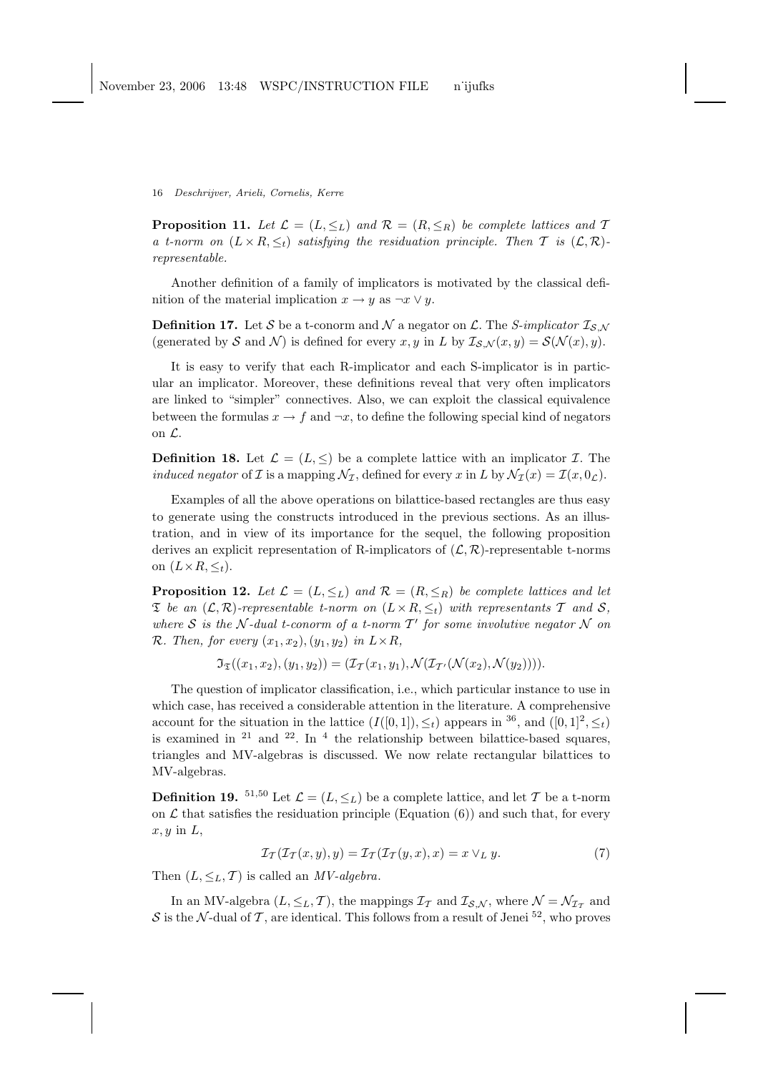**Proposition 11.** Let  $\mathcal{L} = (L, \leq_L)$  and  $\mathcal{R} = (R, \leq_R)$  be complete lattices and  $\mathcal{T}$ a t-norm on  $(L \times R, \leq_t)$  satisfying the residuation principle. Then T is  $(L, R)$ representable.

Another definition of a family of implicators is motivated by the classical definition of the material implication  $x \to y$  as  $\neg x \lor y$ .

**Definition 17.** Let S be a t-conorm and N a negator on L. The S-implicator  $I_{S,N}$ (generated by S and N) is defined for every x, y in L by  $\mathcal{I}_{S,N}(x, y) = \mathcal{S}(\mathcal{N}(x), y)$ .

It is easy to verify that each R-implicator and each S-implicator is in particular an implicator. Moreover, these definitions reveal that very often implicators are linked to "simpler" connectives. Also, we can exploit the classical equivalence between the formulas  $x \to f$  and  $\neg x$ , to define the following special kind of negators on  $\mathcal{L}$ .

**Definition 18.** Let  $\mathcal{L} = (L, \leq)$  be a complete lattice with an implicator  $\mathcal{I}$ . The induced negator of  $\mathcal I$  is a mapping  $\mathcal N_{\mathcal I}$ , defined for every x in L by  $\mathcal N_{\mathcal I}(x) = \mathcal I(x, 0)$ .

Examples of all the above operations on bilattice-based rectangles are thus easy to generate using the constructs introduced in the previous sections. As an illustration, and in view of its importance for the sequel, the following proposition derives an explicit representation of R-implicators of  $(\mathcal{L}, \mathcal{R})$ -representable t-norms on  $(L \times R, \leq_t)$ .

**Proposition 12.** Let  $\mathcal{L} = (L, \leq_L)$  and  $\mathcal{R} = (R, \leq_R)$  be complete lattices and let  $\mathfrak T$  be an  $(\mathcal L,\mathcal R)$ -representable t-norm on  $(L\times R, \leq_t)$  with representants  $\mathcal T$  and  $\mathcal S$ , where  $S$  is the N-dual t-conorm of a t-norm  $T'$  for some involutive negator N on R. Then, for every  $(x_1, x_2), (y_1, y_2)$  in  $L \times R$ ,

 $\mathfrak{I}_{\mathfrak{T}}((x_1, x_2), (y_1, y_2)) = (\mathcal{I}_{\mathcal{T}}(x_1, y_1), \mathcal{N}(\mathcal{I}_{\mathcal{T}'}(\mathcal{N}(x_2), \mathcal{N}(y_2))))$ .

The question of implicator classification, i.e., which particular instance to use in which case, has received a considerable attention in the literature. A comprehensive account for the situation in the lattice  $(I([0,1]), \leq_t)$  appears in <sup>36</sup>, and  $([0,1]^2, \leq_t)$ is examined in  $21$  and  $22$ . In  $4$  the relationship between bilattice-based squares, triangles and MV-algebras is discussed. We now relate rectangular bilattices to MV-algebras.

**Definition 19.** <sup>51,50</sup> Let  $\mathcal{L} = (L, \leq_L)$  be a complete lattice, and let T be a t-norm on  $\mathcal L$  that satisfies the residuation principle (Equation (6)) and such that, for every  $x, y$  in  $L$ ,

$$
\mathcal{I}_{\mathcal{T}}(\mathcal{I}_{\mathcal{T}}(x,y),y) = \mathcal{I}_{\mathcal{T}}(\mathcal{I}_{\mathcal{T}}(y,x),x) = x \vee_L y.
$$
 (7)

Then  $(L, \leq_L, T)$  is called an *MV-algebra*.

In an MV-algebra  $(L, \leq_L, T)$ , the mappings  $\mathcal{I}_T$  and  $\mathcal{I}_{S,N}$ , where  $\mathcal{N} = \mathcal{N}_{\mathcal{I}_T}$  and S is the N-dual of T, are identical. This follows from a result of Jenei  $^{52}$ , who proves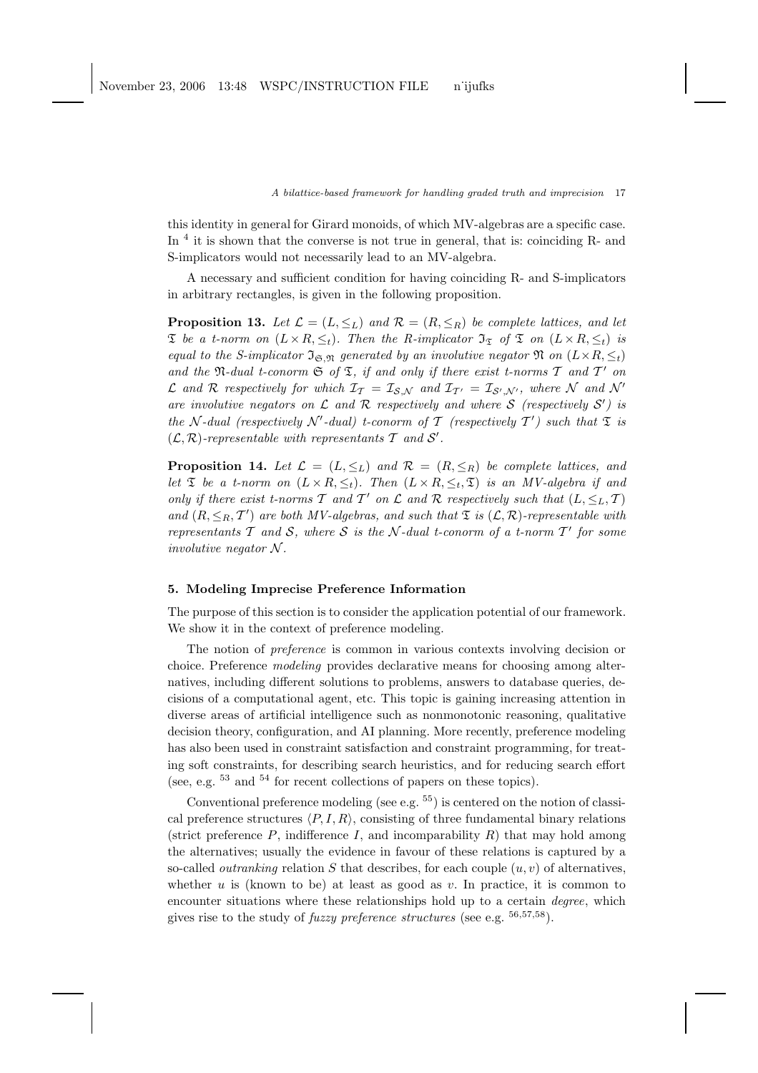this identity in general for Girard monoids, of which MV-algebras are a specific case. In<sup>4</sup> it is shown that the converse is not true in general, that is: coinciding R- and S-implicators would not necessarily lead to an MV-algebra.

A necessary and sufficient condition for having coinciding R- and S-implicators in arbitrary rectangles, is given in the following proposition.

**Proposition 13.** Let  $\mathcal{L} = (L, \leq_L)$  and  $\mathcal{R} = (R, \leq_R)$  be complete lattices, and let  $\mathfrak T$  be a t-norm on  $(L \times R, \leq_t)$ . Then the R-implicator  $\mathfrak I_{\mathfrak T}$  of  $\mathfrak T$  on  $(L \times R, \leq_t)$  is equal to the S-implicator  $\mathfrak{I}_{\mathfrak{S},\mathfrak{N}}$  generated by an involutive negator  $\mathfrak{N}$  on  $(L\times R, \leq_t)$ and the  $\mathfrak{N}\text{-}dual$  t-conorm  $\mathfrak{S}$  of  $\mathfrak{T}$ , if and only if there exist t-norms  $\mathfrak{T}$  and  $\mathfrak{T}'$  on  $\mathcal L$  and  $\mathcal R$  respectively for which  $\mathcal I_{\mathcal T} = \mathcal I_{\mathcal S,\mathcal N}$  and  $\mathcal I_{\mathcal T'} = \mathcal I_{\mathcal S',\mathcal N'}$ , where  $\mathcal N$  and  $\mathcal N'$ are involutive negators on  $\mathcal L$  and  $\mathcal R$  respectively and where  $\mathcal S$  (respectively  $\mathcal S'$ ) is the N-dual (respectively N'-dual) t-conorm of T (respectively  $T'$ ) such that  $\mathfrak T$  is  $(\mathcal{L}, \mathcal{R})$ -representable with representants  $\mathcal T$  and  $\mathcal S'$ .

**Proposition 14.** Let  $\mathcal{L} = (L, \leq_L)$  and  $\mathcal{R} = (R, \leq_R)$  be complete lattices, and let  $\mathfrak T$  be a t-norm on  $(L \times R, \leq_t)$ . Then  $(L \times R, \leq_t, \mathfrak T)$  is an MV-algebra if and only if there exist t-norms  $T$  and  $T'$  on  $\mathcal L$  and  $\mathcal R$  respectively such that  $(L, \leq_L, T)$ and  $(R, \leq_R, T')$  are both MV-algebras, and such that  $\mathfrak T$  is  $(\mathcal L, \mathcal R)$ -representable with representants  $T$  and  $S$ , where  $S$  is the N-dual t-conorm of a t-norm  $T'$  for some involutive negator  $N$ .

### 5. Modeling Imprecise Preference Information

The purpose of this section is to consider the application potential of our framework. We show it in the context of preference modeling.

The notion of preference is common in various contexts involving decision or choice. Preference modeling provides declarative means for choosing among alternatives, including different solutions to problems, answers to database queries, decisions of a computational agent, etc. This topic is gaining increasing attention in diverse areas of artificial intelligence such as nonmonotonic reasoning, qualitative decision theory, configuration, and AI planning. More recently, preference modeling has also been used in constraint satisfaction and constraint programming, for treating soft constraints, for describing search heuristics, and for reducing search effort (see, e.g.  $53$  and  $54$  for recent collections of papers on these topics).

Conventional preference modeling (see e.g.  $55$ ) is centered on the notion of classical preference structures  $\langle P, I, R \rangle$ , consisting of three fundamental binary relations (strict preference  $P$ , indifference  $I$ , and incomparability  $R$ ) that may hold among the alternatives; usually the evidence in favour of these relations is captured by a so-called *outranking* relation S that describes, for each couple  $(u, v)$  of alternatives, whether  $u$  is (known to be) at least as good as  $v$ . In practice, it is common to encounter situations where these relationships hold up to a certain degree, which gives rise to the study of *fuzzy preference structures* (see e.g.  $56,57,58$ ).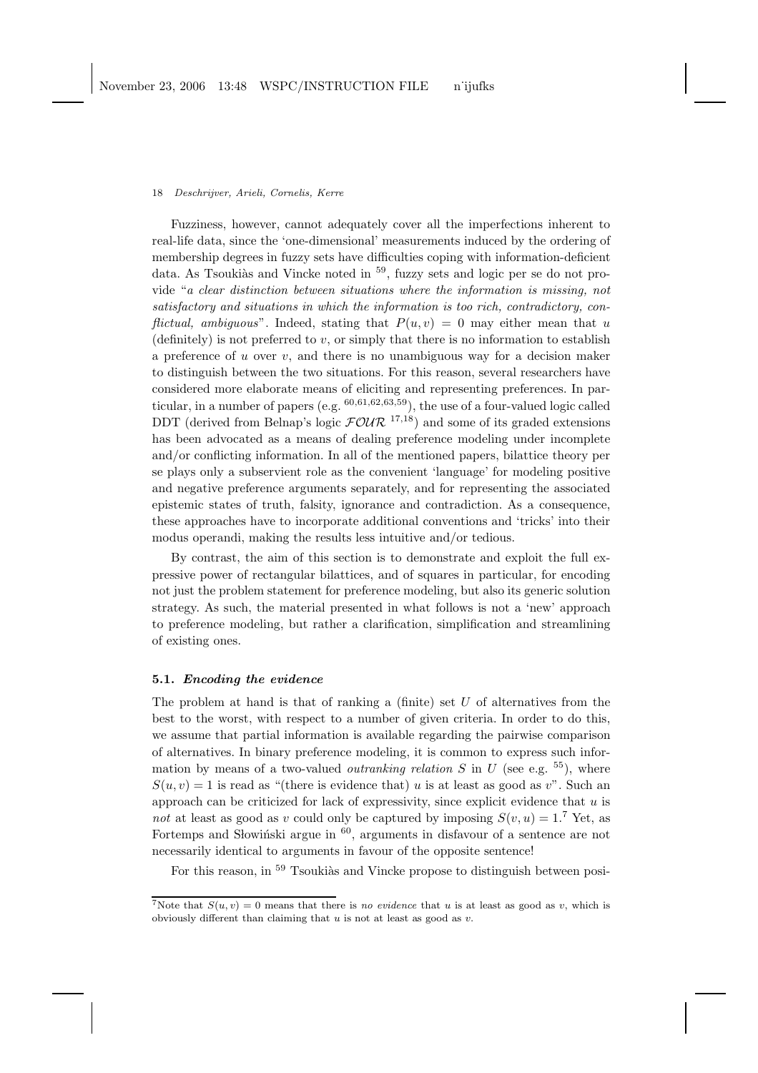Fuzziness, however, cannot adequately cover all the imperfections inherent to real-life data, since the 'one-dimensional' measurements induced by the ordering of membership degrees in fuzzy sets have difficulties coping with information-deficient data. As Tsoukiàs and Vincke noted in  $59$ , fuzzy sets and logic per se do not provide "a clear distinction between situations where the information is missing, not satisfactory and situations in which the information is too rich, contradictory, conflictual, ambiguous". Indeed, stating that  $P(u, v) = 0$  may either mean that u (definitely) is not preferred to  $v$ , or simply that there is no information to establish a preference of  $u$  over  $v$ , and there is no unambiguous way for a decision maker to distinguish between the two situations. For this reason, several researchers have considered more elaborate means of eliciting and representing preferences. In particular, in a number of papers (e.g.  $^{60,61,62,63,59}$ ), the use of a four-valued logic called DDT (derived from Belnap's logic  $F\mathcal{OUP}$  17,18) and some of its graded extensions has been advocated as a means of dealing preference modeling under incomplete and/or conflicting information. In all of the mentioned papers, bilattice theory per se plays only a subservient role as the convenient 'language' for modeling positive and negative preference arguments separately, and for representing the associated epistemic states of truth, falsity, ignorance and contradiction. As a consequence, these approaches have to incorporate additional conventions and 'tricks' into their modus operandi, making the results less intuitive and/or tedious.

By contrast, the aim of this section is to demonstrate and exploit the full expressive power of rectangular bilattices, and of squares in particular, for encoding not just the problem statement for preference modeling, but also its generic solution strategy. As such, the material presented in what follows is not a 'new' approach to preference modeling, but rather a clarification, simplification and streamlining of existing ones.

## 5.1. Encoding the evidence

The problem at hand is that of ranking a (finite) set  $U$  of alternatives from the best to the worst, with respect to a number of given criteria. In order to do this, we assume that partial information is available regarding the pairwise comparison of alternatives. In binary preference modeling, it is common to express such information by means of a two-valued *outranking relation* S in U (see e.g.  $^{55}$ ), where  $S(u, v) = 1$  is read as "(there is evidence that) u is at least as good as v". Such an approach can be criticized for lack of expressivity, since explicit evidence that  $u$  is not at least as good as v could only be captured by imposing  $S(v, u) = 1$ .<sup>7</sup> Yet, as Fortemps and Słowiński argue in  $60$ , arguments in disfavour of a sentence are not necessarily identical to arguments in favour of the opposite sentence!

For this reason, in <sup>59</sup> Tsoukiàs and Vincke propose to distinguish between posi-

<sup>&</sup>lt;sup>7</sup>Note that  $S(u, v) = 0$  means that there is no evidence that u is at least as good as v, which is obviously different than claiming that  $u$  is not at least as good as  $v$ .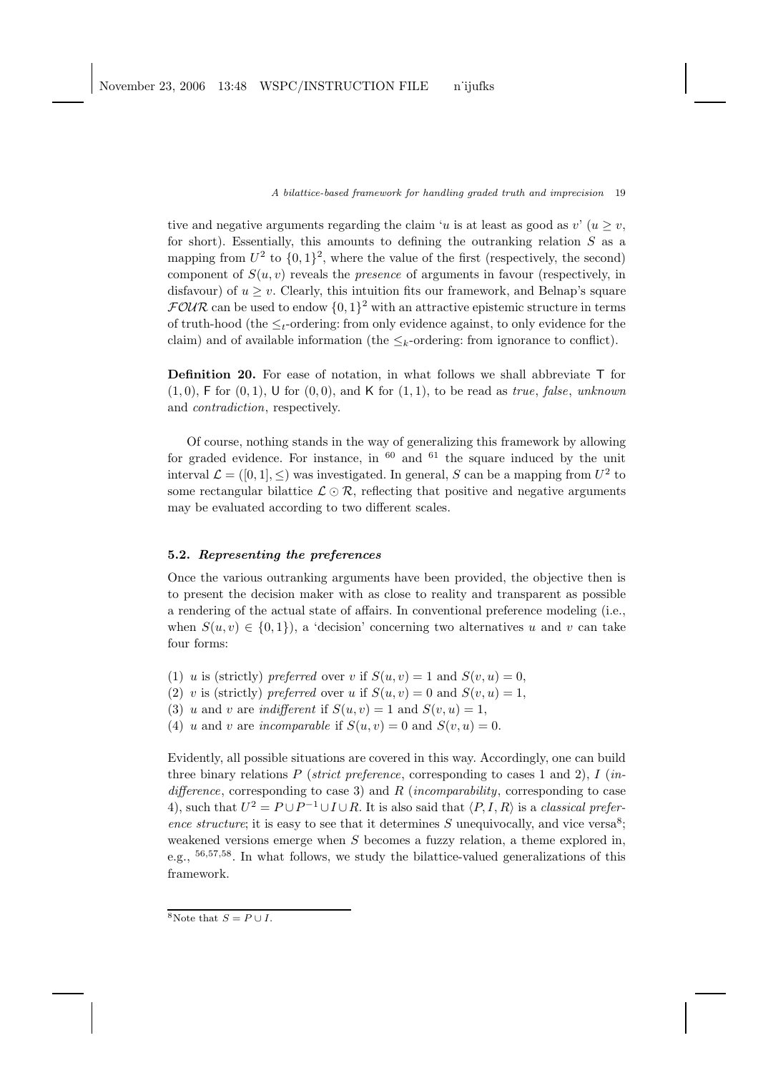tive and negative arguments regarding the claim 'u is at least as good as  $v'$  ( $u > v$ , for short). Essentially, this amounts to defining the outranking relation  $S$  as a mapping from  $U^2$  to  $\{0,1\}^2$ , where the value of the first (respectively, the second) component of  $S(u, v)$  reveals the *presence* of arguments in favour (respectively, in disfavour) of  $u \geq v$ . Clearly, this intuition fits our framework, and Belnap's square  $\mathcal{FOUR}$  can be used to endow  $\{0,1\}^2$  with an attractive epistemic structure in terms of truth-hood (the  $\leq_t$ -ordering: from only evidence against, to only evidence for the claim) and of available information (the  $\leq_k$ -ordering: from ignorance to conflict).

Definition 20. For ease of notation, in what follows we shall abbreviate T for  $(1, 0)$ , F for  $(0, 1)$ , U for  $(0, 0)$ , and K for  $(1, 1)$ , to be read as *true*, *false*, *unknown* and contradiction, respectively.

Of course, nothing stands in the way of generalizing this framework by allowing for graded evidence. For instance, in  $60$  and  $61$  the square induced by the unit interval  $\mathcal{L} = ([0, 1], \le)$  was investigated. In general, S can be a mapping from  $U^2$  to some rectangular bilattice  $\mathcal{L} \odot \mathcal{R}$ , reflecting that positive and negative arguments may be evaluated according to two different scales.

## 5.2. Representing the preferences

Once the various outranking arguments have been provided, the objective then is to present the decision maker with as close to reality and transparent as possible a rendering of the actual state of affairs. In conventional preference modeling (i.e., when  $S(u, v) \in \{0, 1\}$ , a 'decision' concerning two alternatives u and v can take four forms:

- (1) u is (strictly) preferred over v if  $S(u, v) = 1$  and  $S(v, u) = 0$ ,
- (2) v is (strictly) preferred over u if  $S(u, v) = 0$  and  $S(v, u) = 1$ ,
- (3) u and v are *indifferent* if  $S(u, v) = 1$  and  $S(v, u) = 1$ ,
- (4) u and v are incomparable if  $S(u, v) = 0$  and  $S(v, u) = 0$ .

Evidently, all possible situations are covered in this way. Accordingly, one can build three binary relations  $P$  (strict preference, corresponding to cases 1 and 2),  $I$  (indifference, corresponding to case 3) and R (incomparability, corresponding to case 4), such that  $U^2 = P \cup P^{-1} \cup I \cup R$ . It is also said that  $\langle P, I, R \rangle$  is a *classical prefer*ence structure; it is easy to see that it determines S unequivocally, and vice versa<sup>8</sup>; weakened versions emerge when S becomes a fuzzy relation, a theme explored in, e.g., <sup>56</sup>,57,58. In what follows, we study the bilattice-valued generalizations of this framework.

<sup>&</sup>lt;sup>8</sup>Note that  $S = P \cup I$ .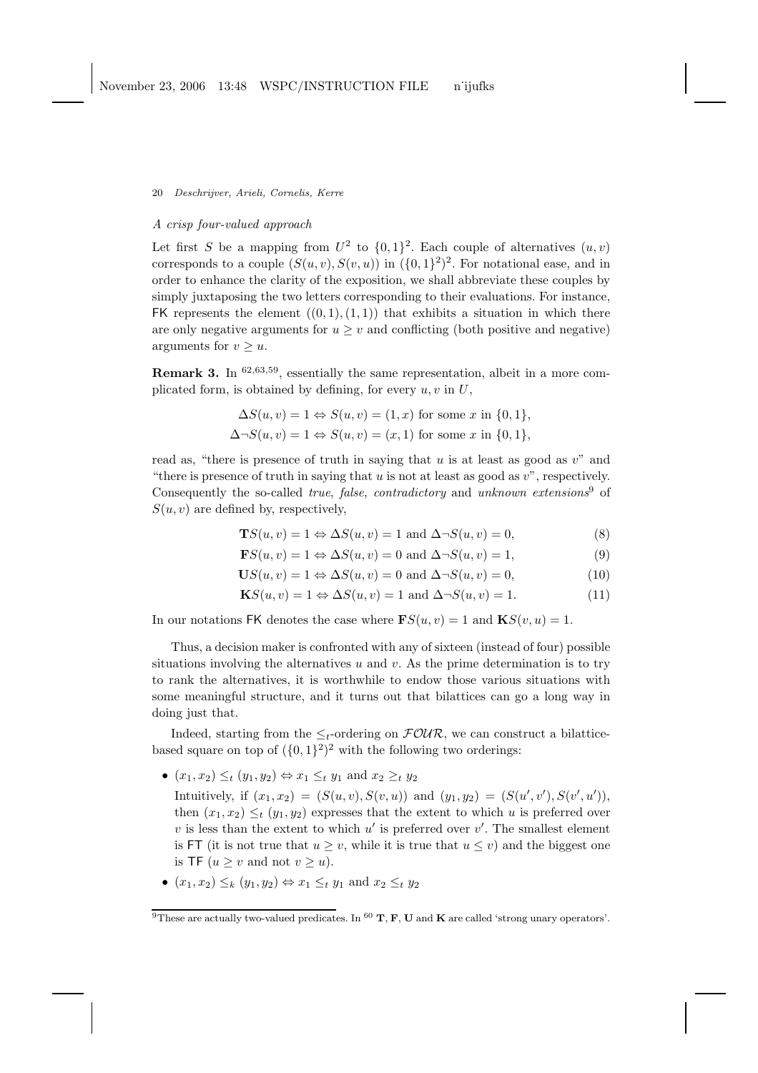### A crisp four-valued approach

Let first S be a mapping from  $U^2$  to  $\{0,1\}^2$ . Each couple of alternatives  $(u, v)$ corresponds to a couple  $(S(u, v), S(v, u))$  in  $({0, 1}^2)^2$ . For notational ease, and in order to enhance the clarity of the exposition, we shall abbreviate these couples by simply juxtaposing the two letters corresponding to their evaluations. For instance, FK represents the element  $((0,1),(1,1))$  that exhibits a situation in which there are only negative arguments for  $u > v$  and conflicting (both positive and negative) arguments for  $v > u$ .

**Remark 3.** In  ${}^{62,63,59}$ , essentially the same representation, albeit in a more complicated form, is obtained by defining, for every  $u, v$  in  $U$ ,

$$
\Delta S(u, v) = 1 \Leftrightarrow S(u, v) = (1, x) \text{ for some } x \text{ in } \{0, 1\},
$$
  

$$
\Delta \neg S(u, v) = 1 \Leftrightarrow S(u, v) = (x, 1) \text{ for some } x \text{ in } \{0, 1\},
$$

read as, "there is presence of truth in saying that  $u$  is at least as good as  $v$ " and "there is presence of truth in saying that  $u$  is not at least as good as  $v$ ", respectively. Consequently the so-called true, false, contradictory and unknown extensions<sup>9</sup> of  $S(u, v)$  are defined by, respectively,

$$
\mathbf{T}S(u,v) = 1 \Leftrightarrow \Delta S(u,v) = 1 \text{ and } \Delta \neg S(u,v) = 0,
$$
\n(8)

$$
\mathbf{F}S(u,v) = 1 \Leftrightarrow \Delta S(u,v) = 0 \text{ and } \Delta \neg S(u,v) = 1,
$$
\n(9)

$$
US(u, v) = 1 \Leftrightarrow \Delta S(u, v) = 0 \text{ and } \Delta \neg S(u, v) = 0,
$$
\n(10)

$$
\mathbf{K}S(u,v) = 1 \Leftrightarrow \Delta S(u,v) = 1 \text{ and } \Delta \neg S(u,v) = 1. \tag{11}
$$

In our notations FK denotes the case where  $\mathbf{F}S(u, v) = 1$  and  $\mathbf{K}S(v, u) = 1$ .

Thus, a decision maker is confronted with any of sixteen (instead of four) possible situations involving the alternatives  $u$  and  $v$ . As the prime determination is to try to rank the alternatives, it is worthwhile to endow those various situations with some meaningful structure, and it turns out that bilattices can go a long way in doing just that.

Indeed, starting from the  $\leq_t$ -ordering on  $\text{FOUR}$ , we can construct a bilatticebased square on top of  $({0, 1})^2$  with the following two orderings:

- $(x_1, x_2) \leq_t (y_1, y_2) \Leftrightarrow x_1 \leq_t y_1 \text{ and } x_2 \geq_t y_2$
- Intuitively, if  $(x_1, x_2) = (S(u, v), S(v, u))$  and  $(y_1, y_2) = (S(u', v'), S(v', u')),$ then  $(x_1, x_2) \leq_t (y_1, y_2)$  expresses that the extent to which u is preferred over v is less than the extent to which  $u'$  is preferred over  $v'$ . The smallest element is FT (it is not true that  $u \geq v$ , while it is true that  $u \leq v$ ) and the biggest one is TF  $(u > v$  and not  $v > u$ ).
- $(x_1, x_2) \leq_k (y_1, y_2) \Leftrightarrow x_1 \leq_t y_1 \text{ and } x_2 \leq_t y_2$

<sup>&</sup>lt;sup>9</sup>These are actually two-valued predicates. In <sup>60</sup> **T**, **F**, **U** and **K** are called 'strong unary operators'.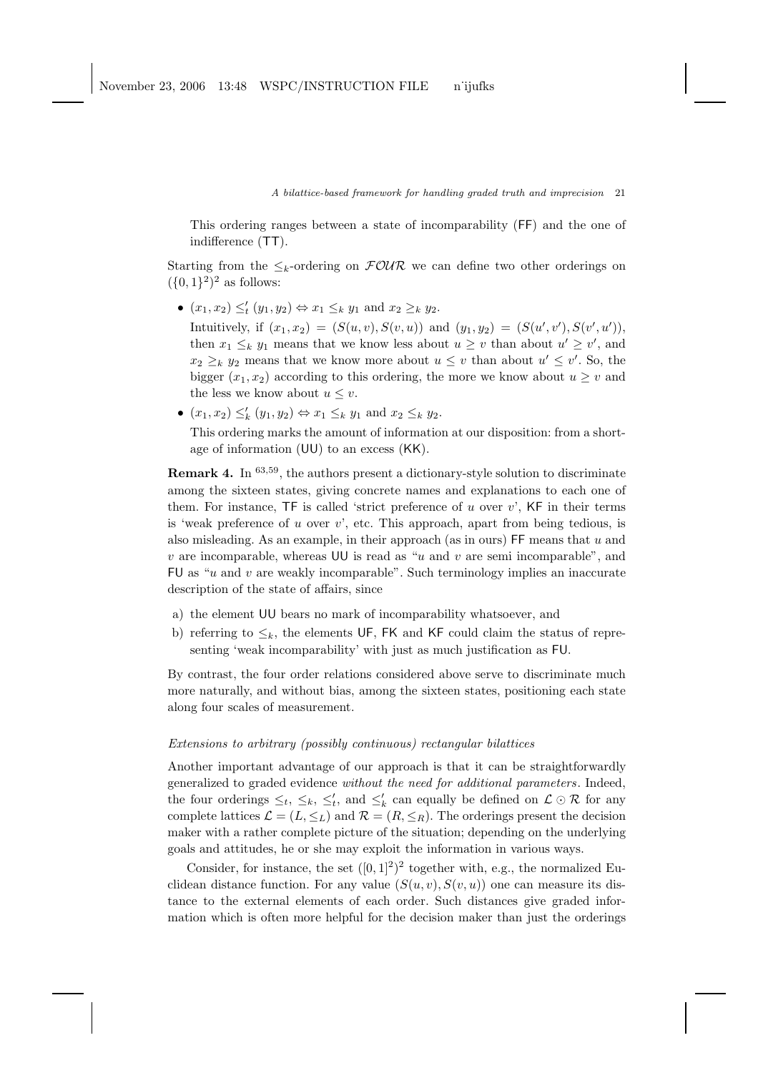This ordering ranges between a state of incomparability (FF) and the one of indifference (TT).

Starting from the  $\leq_k$ -ordering on  $\mathcal{FOUR}$  we can define two other orderings on  $({0, 1}^2)^2$  as follows:

•  $(x_1, x_2) \leq'_t (y_1, y_2) \Leftrightarrow x_1 \leq_k y_1 \text{ and } x_2 \geq_k y_2.$ 

Intuitively, if  $(x_1, x_2) = (S(u, v), S(v, u))$  and  $(y_1, y_2) = (S(u', v'), S(v', u')),$ then  $x_1 \leq_k y_1$  means that we know less about  $u \geq v$  than about  $u' \geq v'$ , and  $x_2 \geq_k y_2$  means that we know more about  $u \leq v$  than about  $u' \leq v'$ . So, the bigger  $(x_1, x_2)$  according to this ordering, the more we know about  $u \geq v$  and the less we know about  $u \leq v$ .

•  $(x_1, x_2) \leq'_k (y_1, y_2) \Leftrightarrow x_1 \leq_k y_1 \text{ and } x_2 \leq_k y_2.$ 

This ordering marks the amount of information at our disposition: from a shortage of information (UU) to an excess (KK).

**Remark 4.** In  $63,59$ , the authors present a dictionary-style solution to discriminate among the sixteen states, giving concrete names and explanations to each one of them. For instance,  $TF$  is called 'strict preference of u over v',  $KF$  in their terms is 'weak preference of  $u$  over  $v'$ , etc. This approach, apart from being tedious, is also misleading. As an example, in their approach (as in ours)  $\mathsf{FF}$  means that u and v are incomparable, whereas UU is read as "u and v are semi incomparable", and FU as "u and v are weakly incomparable". Such terminology implies an inaccurate description of the state of affairs, since

- a) the element UU bears no mark of incomparability whatsoever, and
- b) referring to  $\leq_k$ , the elements UF, FK and KF could claim the status of representing 'weak incomparability' with just as much justification as FU.

By contrast, the four order relations considered above serve to discriminate much more naturally, and without bias, among the sixteen states, positioning each state along four scales of measurement.

## Extensions to arbitrary (possibly continuous) rectangular bilattices

Another important advantage of our approach is that it can be straightforwardly generalized to graded evidence without the need for additional parameters. Indeed, the four orderings  $\leq_t, \leq_t, \leq'_t$ , and  $\leq'_k$  can equally be defined on  $\mathcal{L} \odot \mathcal{R}$  for any complete lattices  $\mathcal{L} = (L, \leq_L)$  and  $\mathcal{R} = (R, \leq_R)$ . The orderings present the decision maker with a rather complete picture of the situation; depending on the underlying goals and attitudes, he or she may exploit the information in various ways.

Consider, for instance, the set  $([0, 1]^2)^2$  together with, e.g., the normalized Euclidean distance function. For any value  $(S(u, v), S(v, u))$  one can measure its distance to the external elements of each order. Such distances give graded information which is often more helpful for the decision maker than just the orderings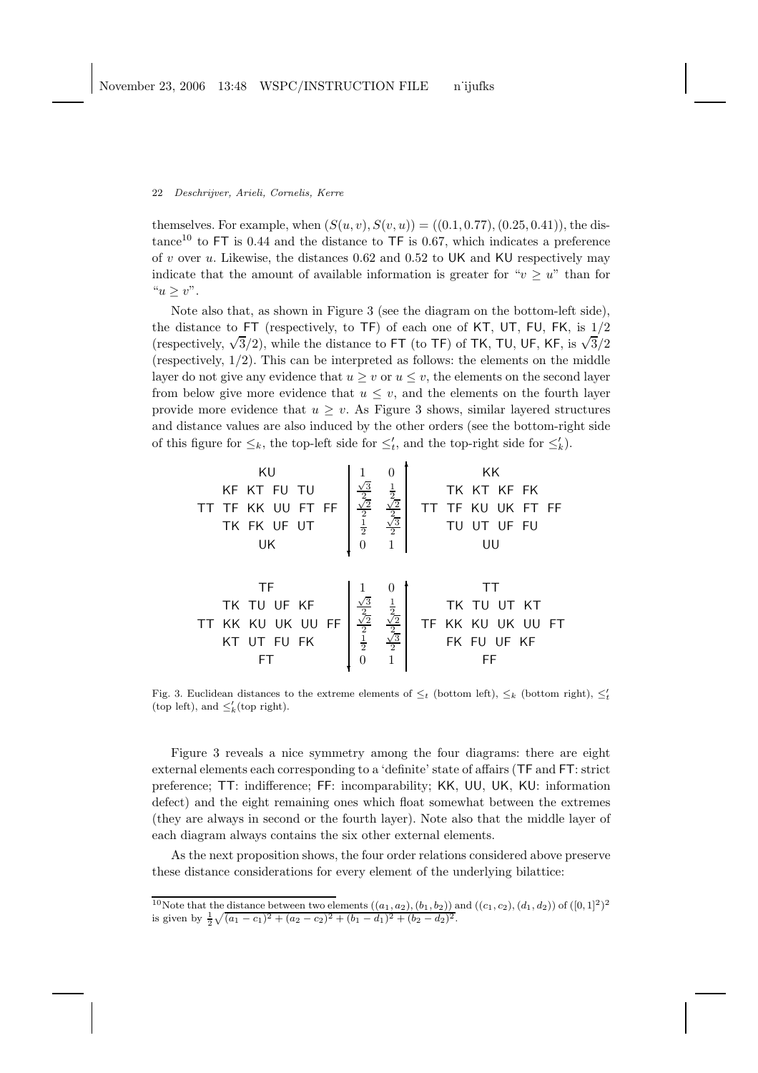themselves. For example, when  $(S(u, v), S(v, u)) = ((0.1, 0.77), (0.25, 0.41))$ , the distance<sup>10</sup> to  $FT$  is 0.44 and the distance to  $TF$  is 0.67, which indicates a preference of v over u. Likewise, the distances  $0.62$  and  $0.52$  to UK and KU respectively may indicate that the amount of available information is greater for " $v > u$ " than for " $u \geq v$ ".

Note also that, as shown in Figure 3 (see the diagram on the bottom-left side), the distance to  $FT$  (respectively, to  $TF$ ) of each one of  $KT$ ,  $UT$ ,  $FU$ ,  $FK$ , is  $1/2$ (respectively,  $\sqrt{3}/2$ ), while the distance to FT (to TF) of TK, TU, UF, KF, is  $\sqrt{3}/2$ (respectively,  $1/2$ ). This can be interpreted as follows: the elements on the middle layer do not give any evidence that  $u \geq v$  or  $u \leq v$ , the elements on the second layer from below give more evidence that  $u \leq v$ , and the elements on the fourth layer provide more evidence that  $u \geq v$ . As Figure 3 shows, similar layered structures and distance values are also induced by the other orders (see the bottom-right side of this figure for  $\leq_k$ , the top-left side for  $\leq'_t$ , and the top-right side for  $\leq'_k$ ).

KU\n  
\nKF KT FU TU\n  
\nTT TF KK UU FT FF\n  
\nTK FK UF UT\n  
\nUK\n  
\n
$$
\frac{1}{2} \frac{\sqrt{3}}{2} \frac{1}{\sqrt{2}}
$$
\nTUT TF KU UK FT FF\n  
\nUV\n  
\nUK\n  
\nTF\n  
\nTF\n  
\nTF\n  
\nTF\n  
\nTF\n  
\nUU UT UF FU  
\nUU\n  
\nTF\n  
\nTF\n  
\nVU UT UF FU\n  
\nVU\n  
\nTF\n  
\nTF\n  
\nVU UT UF FU\n  
\nVU\n  
\nTF\n  
\nTF\n  
\nVU UT UF FU\n  
\nVU\n  
\nTF\n  
\nTF\n  
\nVU UT VF FU\n  
\nTF\n  
\nKK U UK UU FT\n  
\nTF\n  
\nKK U UK UU FT\n  
\nTF\n  
\nKK U UK UU FT\n  
\nTF\n  
\nTF\n  
\nKK U UK UU FT\n  
\nTF\n  
\nTF\n  
\nKK U UK UU FT\n  
\nTF\n  
\nTF\n  
\nTF\n  
\nTF\n  
\nTF\n  
\nTF\n  
\nTF\n  
\nTF\n  
\nTF\n  
\nTF\n  
\nTF\n  
\nTF\n  
\nTF\n  
\nTF\n  
\nTF\n  
\nTF\n  
\nTF\n  
\nTF\n  
\nTF\n  
\nTF\n  
\nTF\n  
\nTF\n  
\nTF\n  
\nTF\n  
\nTF\n  
\nTF\n  
\nTF\n  
\nTF\n  
\nTF\n  
\nTF\n  
\nTF\n  
\nTF\n  
\nTF\n  
\nTF\n  
\nTF\n  
\nTF\n  
\nTF\n  
\nTF\n  
\nTF\n  
\nTF\n  
\nTF\n  
\nTF\n  
\nTF\n  
\nTF\n  
\nTF\n  
\nTF\n  
\nTF\n  
\nTF\n  
\nTF\n  
\nTF\n  
\nTF\n  
\nTF\n  
\nTF\n  
\nTF\n  
\nTF\n  
\nTF\n  
\nTF\n  
\nTF\n  
\nTF\n  
\nTF\n  
\nTF\n  
\nTF\n  
\nTF\n  
\nTF\n  
\nTF\n  
\nTF\n  
\nTF\n  
\nTF\n  
\nTF\n  
\nTF\n  
\nTF

Fig. 3. Euclidean distances to the extreme elements of  $\leq_t$  (bottom left),  $\leq_k$  (bottom right),  $\leq'_t$ (top left), and  $\leq'_{k}$  (top right).

Figure 3 reveals a nice symmetry among the four diagrams: there are eight external elements each corresponding to a 'definite' state of affairs (TF and FT: strict preference; TT: indifference; FF: incomparability; KK, UU, UK, KU: information defect) and the eight remaining ones which float somewhat between the extremes (they are always in second or the fourth layer). Note also that the middle layer of each diagram always contains the six other external elements.

As the next proposition shows, the four order relations considered above preserve these distance considerations for every element of the underlying bilattice:

<sup>&</sup>lt;sup>10</sup>Note that the distance between two elements  $((a_1, a_2), (b_1, b_2))$  and  $((c_1, c_2), (d_1, d_2))$  of  $([0, 1]^2)^2$ is given by  $\frac{1}{2}\sqrt{(a_1-c_1)^2+(a_2-c_2)^2+(b_1-d_1)^2+(b_2-d_2)^2}$ .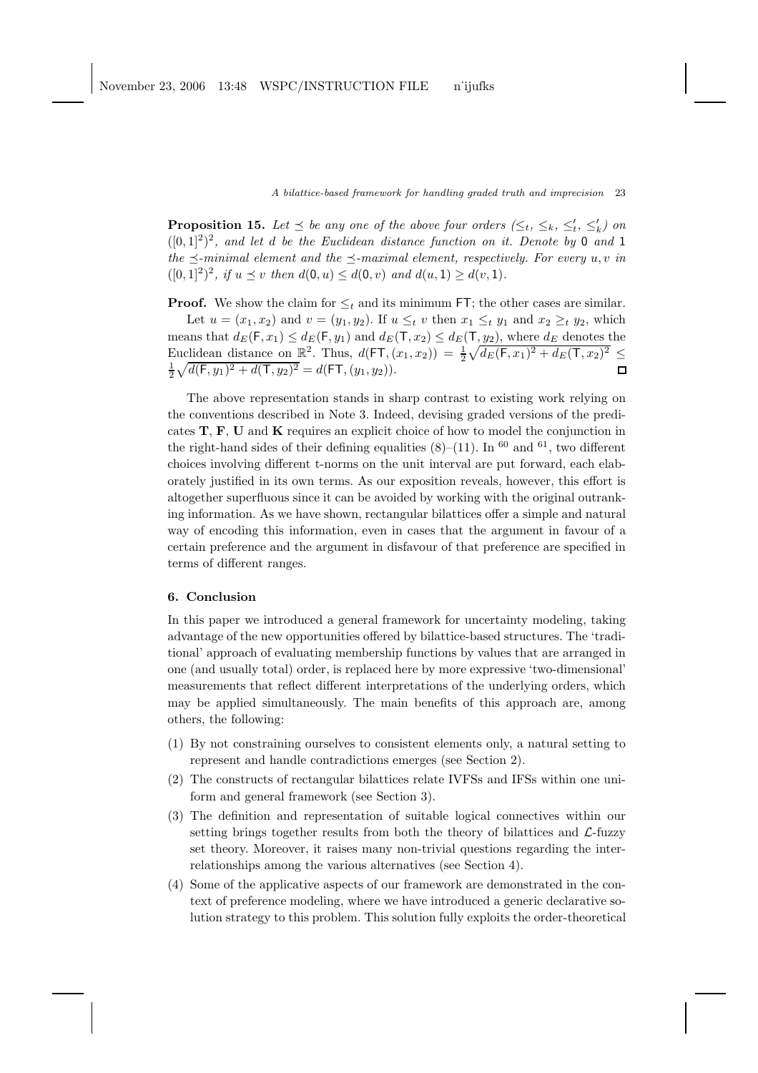**Proposition 15.** Let  $\leq$  be any one of the above four orders  $(\leq_t, \leq_k, \leq'_t, \leq'_k)$  on  $([0,1]^2)^2$ , and let d be the Euclidean distance function on it. Denote by 0 and 1 the  $\prec$ -minimal element and the  $\prec$ -maximal element, respectively. For every u, v in  $([0,1]^2)^2$ , if  $u \preceq v$  then  $d(0, u) \leq d(0, v)$  and  $d(u, 1) \geq d(v, 1)$ .

**Proof.** We show the claim for  $\leq_t$  and its minimum FT; the other cases are similar.

Let  $u = (x_1, x_2)$  and  $v = (y_1, y_2)$ . If  $u \leq_t v$  then  $x_1 \leq_t y_1$  and  $x_2 \geq_t y_2$ , which means that  $d_E(\mathsf{F}, x_1) \leq d_E(\mathsf{F}, y_1)$  and  $d_E(\mathsf{T}, x_2) \leq d_E(\mathsf{T}, y_2)$ , where  $d_E$  denotes the Euclidean distance on  $\mathbb{R}^2$ . Thus,  $d(\mathsf{FT}, (x_1, x_2)) = \frac{1}{2} \sqrt{d_E(\mathsf{F}, x_1)^2 + d_E(\mathsf{T}, x_2)^2} \le \frac{1}{2} \sqrt{d(\mathsf{F}, y_1)^2 + d(\mathsf{T}, y_2)^2} = d(\mathsf{FT}, (y_1, y_2)).$ 

The above representation stands in sharp contrast to existing work relying on the conventions described in Note 3. Indeed, devising graded versions of the predicates  $T$ ,  $F$ ,  $U$  and  $K$  requires an explicit choice of how to model the conjunction in the right-hand sides of their defining equalities  $(8)$ – $(11)$ . In <sup>60</sup> and <sup>61</sup>, two different choices involving different t-norms on the unit interval are put forward, each elaborately justified in its own terms. As our exposition reveals, however, this effort is altogether superfluous since it can be avoided by working with the original outranking information. As we have shown, rectangular bilattices offer a simple and natural way of encoding this information, even in cases that the argument in favour of a certain preference and the argument in disfavour of that preference are specified in terms of different ranges.

## 6. Conclusion

In this paper we introduced a general framework for uncertainty modeling, taking advantage of the new opportunities offered by bilattice-based structures. The 'traditional' approach of evaluating membership functions by values that are arranged in one (and usually total) order, is replaced here by more expressive 'two-dimensional' measurements that reflect different interpretations of the underlying orders, which may be applied simultaneously. The main benefits of this approach are, among others, the following:

- (1) By not constraining ourselves to consistent elements only, a natural setting to represent and handle contradictions emerges (see Section 2).
- (2) The constructs of rectangular bilattices relate IVFSs and IFSs within one uniform and general framework (see Section 3).
- (3) The definition and representation of suitable logical connectives within our setting brings together results from both the theory of bilattices and  $\mathcal{L}$ -fuzzy set theory. Moreover, it raises many non-trivial questions regarding the interrelationships among the various alternatives (see Section 4).
- (4) Some of the applicative aspects of our framework are demonstrated in the context of preference modeling, where we have introduced a generic declarative solution strategy to this problem. This solution fully exploits the order-theoretical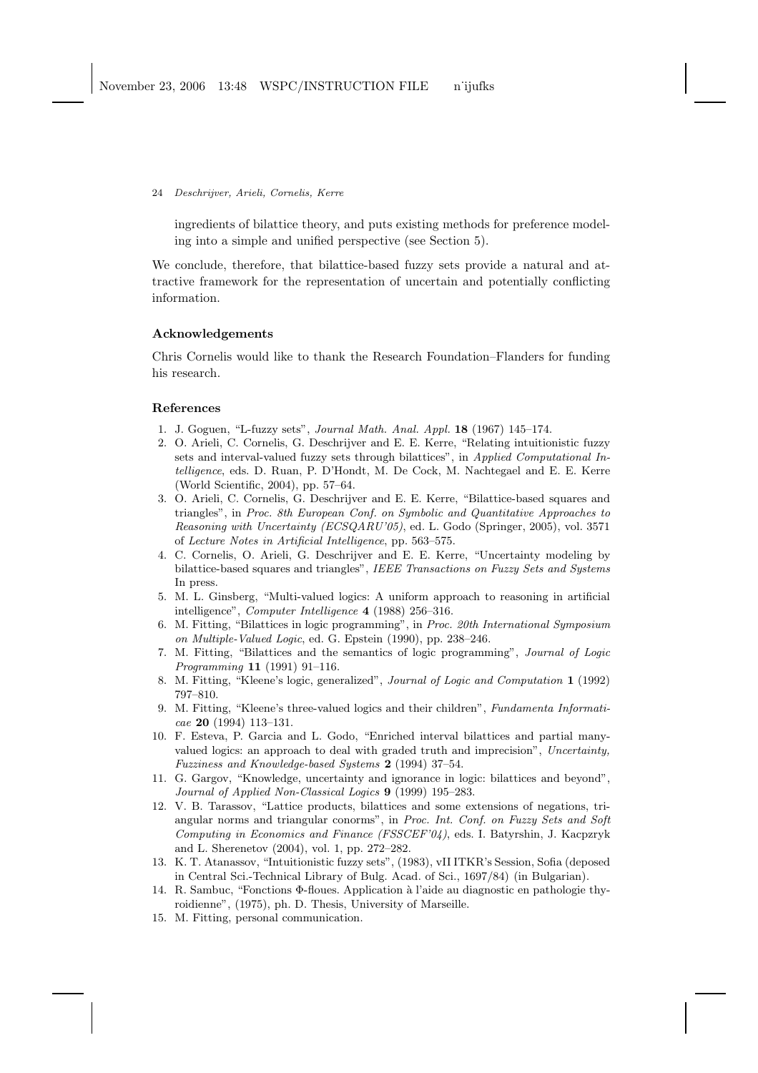ingredients of bilattice theory, and puts existing methods for preference modeling into a simple and unified perspective (see Section 5).

We conclude, therefore, that bilattice-based fuzzy sets provide a natural and attractive framework for the representation of uncertain and potentially conflicting information.

## Acknowledgements

Chris Cornelis would like to thank the Research Foundation–Flanders for funding his research.

# References

- 1. J. Goguen, "L-fuzzy sets", Journal Math. Anal. Appl. 18 (1967) 145–174.
- 2. O. Arieli, C. Cornelis, G. Deschrijver and E. E. Kerre, "Relating intuitionistic fuzzy sets and interval-valued fuzzy sets through bilattices", in Applied Computational Intelligence, eds. D. Ruan, P. D'Hondt, M. De Cock, M. Nachtegael and E. E. Kerre (World Scientific, 2004), pp. 57–64.
- 3. O. Arieli, C. Cornelis, G. Deschrijver and E. E. Kerre, "Bilattice-based squares and triangles", in Proc. 8th European Conf. on Symbolic and Quantitative Approaches to Reasoning with Uncertainty (ECSQARU'05), ed. L. Godo (Springer, 2005), vol. 3571 of Lecture Notes in Artificial Intelligence, pp. 563–575.
- 4. C. Cornelis, O. Arieli, G. Deschrijver and E. E. Kerre, "Uncertainty modeling by bilattice-based squares and triangles", IEEE Transactions on Fuzzy Sets and Systems In press.
- 5. M. L. Ginsberg, "Multi-valued logics: A uniform approach to reasoning in artificial intelligence", Computer Intelligence 4 (1988) 256–316.
- 6. M. Fitting, "Bilattices in logic programming", in Proc. 20th International Symposium on Multiple-Valued Logic, ed. G. Epstein (1990), pp. 238–246.
- 7. M. Fitting, "Bilattices and the semantics of logic programming", Journal of Logic Programming 11 (1991) 91–116.
- 8. M. Fitting, "Kleene's logic, generalized", Journal of Logic and Computation 1 (1992) 797–810.
- 9. M. Fitting, "Kleene's three-valued logics and their children", Fundamenta Informaticae 20 (1994) 113–131.
- 10. F. Esteva, P. Garcia and L. Godo, "Enriched interval bilattices and partial manyvalued logics: an approach to deal with graded truth and imprecision", Uncertainty, Fuzziness and Knowledge-based Systems 2 (1994) 37–54.
- 11. G. Gargov, "Knowledge, uncertainty and ignorance in logic: bilattices and beyond", Journal of Applied Non-Classical Logics 9 (1999) 195–283.
- 12. V. B. Tarassov, "Lattice products, bilattices and some extensions of negations, triangular norms and triangular conorms", in Proc. Int. Conf. on Fuzzy Sets and Soft Computing in Economics and Finance (FSSCEF'04), eds. I. Batyrshin, J. Kacpzryk and L. Sherenetov (2004), vol. 1, pp. 272–282.
- 13. K. T. Atanassov, "Intuitionistic fuzzy sets", (1983), vII ITKR's Session, Sofia (deposed in Central Sci.-Technical Library of Bulg. Acad. of Sci., 1697/84) (in Bulgarian).
- 14. R. Sambuc, "Fonctions Φ-floues. Application `a l'aide au diagnostic en pathologie thyroidienne", (1975), ph. D. Thesis, University of Marseille.
- 15. M. Fitting, personal communication.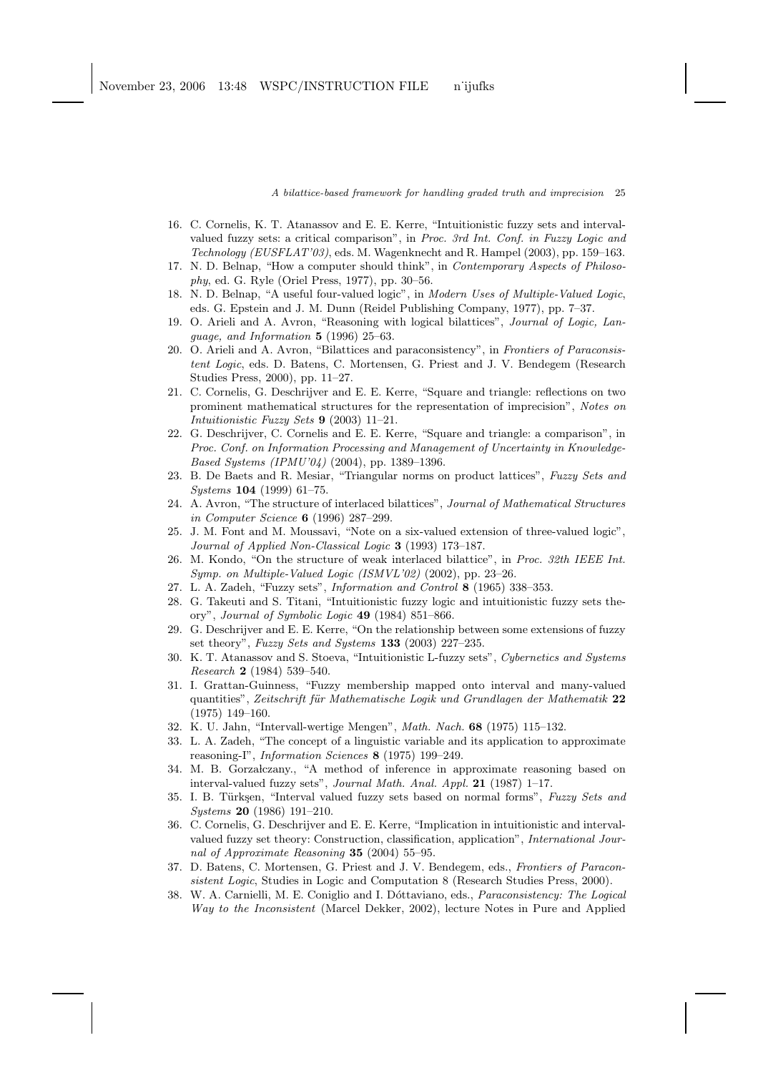- 16. C. Cornelis, K. T. Atanassov and E. E. Kerre, "Intuitionistic fuzzy sets and intervalvalued fuzzy sets: a critical comparison", in Proc. 3rd Int. Conf. in Fuzzy Logic and Technology (EUSFLAT'03), eds. M. Wagenknecht and R. Hampel (2003), pp. 159–163.
- 17. N. D. Belnap, "How a computer should think", in Contemporary Aspects of Philosophy, ed. G. Ryle (Oriel Press, 1977), pp. 30–56.
- 18. N. D. Belnap, "A useful four-valued logic", in Modern Uses of Multiple-Valued Logic, eds. G. Epstein and J. M. Dunn (Reidel Publishing Company, 1977), pp. 7–37.
- 19. O. Arieli and A. Avron, "Reasoning with logical bilattices", Journal of Logic, Language, and Information 5 (1996) 25–63.
- 20. O. Arieli and A. Avron, "Bilattices and paraconsistency", in Frontiers of Paraconsistent Logic, eds. D. Batens, C. Mortensen, G. Priest and J. V. Bendegem (Research Studies Press, 2000), pp. 11–27.
- 21. C. Cornelis, G. Deschrijver and E. E. Kerre, "Square and triangle: reflections on two prominent mathematical structures for the representation of imprecision", Notes on Intuitionistic Fuzzy Sets  $9(2003)$  11–21.
- 22. G. Deschrijver, C. Cornelis and E. E. Kerre, "Square and triangle: a comparison", in Proc. Conf. on Information Processing and Management of Uncertainty in Knowledge-Based Systems (IPMU'04) (2004), pp. 1389–1396.
- 23. B. De Baets and R. Mesiar, "Triangular norms on product lattices", Fuzzy Sets and Systems 104 (1999) 61–75.
- 24. A. Avron, "The structure of interlaced bilattices", Journal of Mathematical Structures in Computer Science 6 (1996) 287–299.
- 25. J. M. Font and M. Moussavi, "Note on a six-valued extension of three-valued logic", Journal of Applied Non-Classical Logic 3 (1993) 173–187.
- 26. M. Kondo, "On the structure of weak interlaced bilattice", in Proc. 32th IEEE Int. Symp. on Multiple-Valued Logic (ISMVL'02) (2002), pp. 23–26.
- 27. L. A. Zadeh, "Fuzzy sets", Information and Control 8 (1965) 338–353.
- 28. G. Takeuti and S. Titani, "Intuitionistic fuzzy logic and intuitionistic fuzzy sets theory", Journal of Symbolic Logic 49 (1984) 851–866.
- 29. G. Deschrijver and E. E. Kerre, "On the relationship between some extensions of fuzzy set theory", Fuzzy Sets and Systems 133 (2003) 227–235.
- 30. K. T. Atanassov and S. Stoeva, "Intuitionistic L-fuzzy sets", Cybernetics and Systems Research 2 (1984) 539–540.
- 31. I. Grattan-Guinness, "Fuzzy membership mapped onto interval and many-valued quantities", Zeitschrift für Mathematische Logik und Grundlagen der Mathematik 22 (1975) 149–160.
- 32. K. U. Jahn, "Intervall-wertige Mengen", Math. Nach. 68 (1975) 115–132.
- 33. L. A. Zadeh, "The concept of a linguistic variable and its application to approximate reasoning-I", Information Sciences 8 (1975) 199–249.
- 34. M. B. Gorzałczany., "A method of inference in approximate reasoning based on interval-valued fuzzy sets", Journal Math. Anal. Appl. 21 (1987) 1–17.
- 35. I. B. Türkşen, "Interval valued fuzzy sets based on normal forms", Fuzzy Sets and Systems 20 (1986) 191–210.
- 36. C. Cornelis, G. Deschrijver and E. E. Kerre, "Implication in intuitionistic and intervalvalued fuzzy set theory: Construction, classification, application", International Journal of Approximate Reasoning 35 (2004) 55–95.
- 37. D. Batens, C. Mortensen, G. Priest and J. V. Bendegem, eds., Frontiers of Paraconsistent Logic, Studies in Logic and Computation 8 (Research Studies Press, 2000).
- 38. W. A. Carnielli, M. E. Coniglio and I. Dóttaviano, eds., Paraconsistency: The Logical Way to the Inconsistent (Marcel Dekker, 2002), lecture Notes in Pure and Applied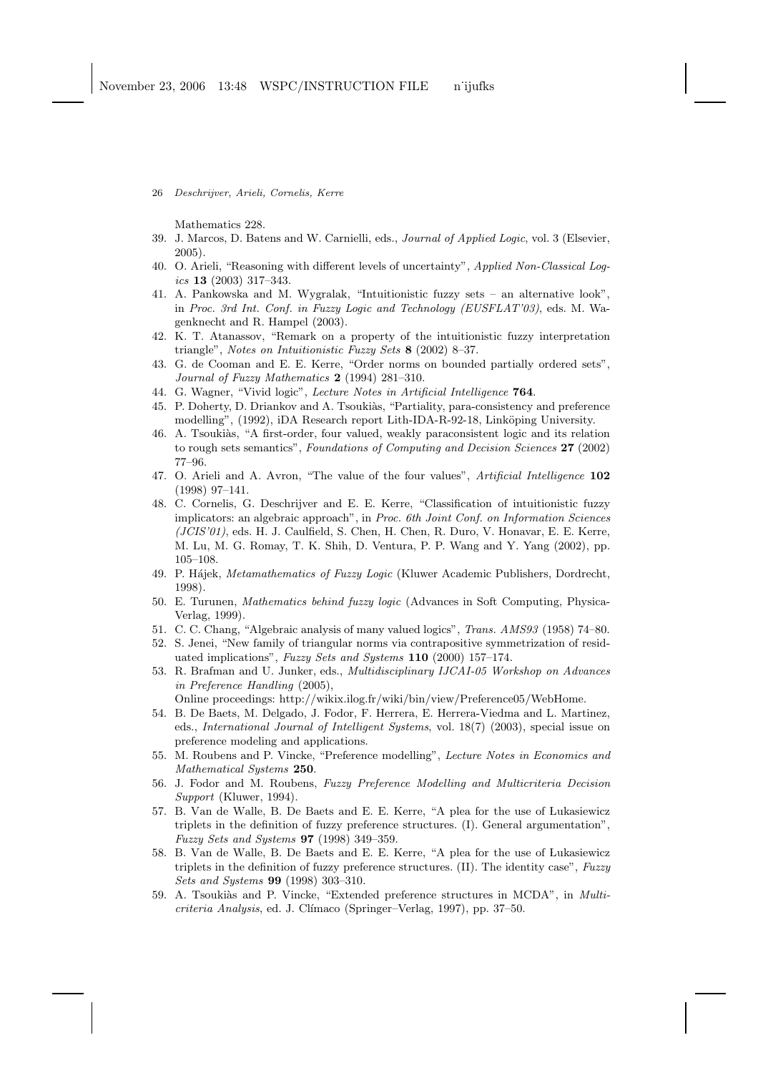Mathematics 228.

- 39. J. Marcos, D. Batens and W. Carnielli, eds., Journal of Applied Logic, vol. 3 (Elsevier, 2005).
- 40. O. Arieli, "Reasoning with different levels of uncertainty", Applied Non-Classical Logics  $13$  (2003) 317-343.
- 41. A. Pankowska and M. Wygralak, "Intuitionistic fuzzy sets an alternative look", in Proc. 3rd Int. Conf. in Fuzzy Logic and Technology (EUSFLAT'03), eds. M. Wagenknecht and R. Hampel (2003).
- 42. K. T. Atanassov, "Remark on a property of the intuitionistic fuzzy interpretation triangle", Notes on Intuitionistic Fuzzy Sets 8 (2002) 8–37.
- 43. G. de Cooman and E. E. Kerre, "Order norms on bounded partially ordered sets", Journal of Fuzzy Mathematics 2 (1994) 281–310.
- 44. G. Wagner, "Vivid logic", Lecture Notes in Artificial Intelligence 764.
- 45. P. Doherty, D. Driankov and A. Tsoukiàs, "Partiality, para-consistency and preference modelling", (1992), iDA Research report Lith-IDA-R-92-18, Linköping University.
- 46. A. Tsoukiàs, "A first-order, four valued, weakly paraconsistent logic and its relation to rough sets semantics", Foundations of Computing and Decision Sciences 27 (2002) 77–96.
- 47. O. Arieli and A. Avron, "The value of the four values", Artificial Intelligence 102 (1998) 97–141.
- 48. C. Cornelis, G. Deschrijver and E. E. Kerre, "Classification of intuitionistic fuzzy implicators: an algebraic approach", in Proc. 6th Joint Conf. on Information Sciences (JCIS'01), eds. H. J. Caulfield, S. Chen, H. Chen, R. Duro, V. Honavar, E. E. Kerre, M. Lu, M. G. Romay, T. K. Shih, D. Ventura, P. P. Wang and Y. Yang (2002), pp. 105–108.
- 49. P. Hájek, Metamathematics of Fuzzy Logic (Kluwer Academic Publishers, Dordrecht, 1998).
- 50. E. Turunen, Mathematics behind fuzzy logic (Advances in Soft Computing, Physica-Verlag, 1999).
- 51. C. C. Chang, "Algebraic analysis of many valued logics", Trans. AMS93 (1958) 74–80.
- 52. S. Jenei, "New family of triangular norms via contrapositive symmetrization of residuated implications", Fuzzy Sets and Systems 110 (2000) 157-174.
- 53. R. Brafman and U. Junker, eds., Multidisciplinary IJCAI-05 Workshop on Advances in Preference Handling (2005),
- Online proceedings: http://wikix.ilog.fr/wiki/bin/view/Preference05/WebHome. 54. B. De Baets, M. Delgado, J. Fodor, F. Herrera, E. Herrera-Viedma and L. Martinez,
- eds., International Journal of Intelligent Systems, vol. 18(7) (2003), special issue on preference modeling and applications.
- 55. M. Roubens and P. Vincke, "Preference modelling", Lecture Notes in Economics and Mathematical Systems 250.
- 56. J. Fodor and M. Roubens, Fuzzy Preference Modelling and Multicriteria Decision Support (Kluwer, 1994).
- 57. B. Van de Walle, B. De Baets and E. E. Kerre, "A plea for the use of Lukasiewicz triplets in the definition of fuzzy preference structures. (I). General argumentation", Fuzzy Sets and Systems 97 (1998) 349–359.
- 58. B. Van de Walle, B. De Baets and E. E. Kerre, "A plea for the use of Lukasiewicz triplets in the definition of fuzzy preference structures. (II). The identity case", Fuzzy Sets and Systems 99 (1998) 303–310.
- 59. A. Tsoukiàs and P. Vincke, "Extended preference structures in MCDA", in Multicriteria Analysis, ed. J. Clímaco (Springer–Verlag, 1997), pp. 37–50.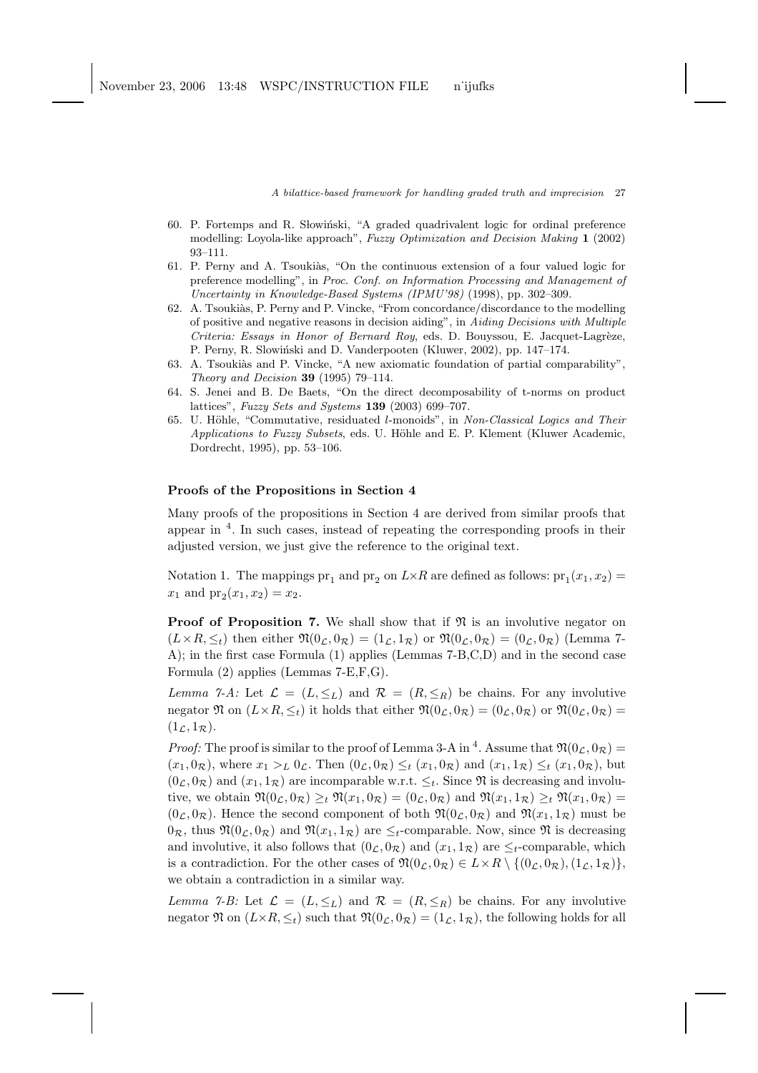- 60. P. Fortemps and R. Słowiński, "A graded quadrivalent logic for ordinal preference modelling: Loyola-like approach", Fuzzy Optimization and Decision Making 1 (2002) 93–111.
- 61. P. Perny and A. Tsoukiàs, "On the continuous extension of a four valued logic for preference modelling", in Proc. Conf. on Information Processing and Management of Uncertainty in Knowledge-Based Systems (IPMU'98) (1998), pp. 302–309.
- 62. A. Tsoukiàs, P. Perny and P. Vincke, "From concordance/discordance to the modelling of positive and negative reasons in decision aiding", in Aiding Decisions with Multiple Criteria: Essays in Honor of Bernard Roy, eds. D. Bouyssou, E. Jacquet-Lagrèze, P. Perny, R. Slowiński and D. Vanderpooten (Kluwer, 2002), pp. 147–174.
- 63. A. Tsoukiàs and P. Vincke, "A new axiomatic foundation of partial comparability", Theory and Decision  $39$  (1995) 79–114.
- 64. S. Jenei and B. De Baets, "On the direct decomposability of t-norms on product lattices", Fuzzy Sets and Systems 139 (2003) 699–707.
- 65. U. Höhle, "Commutative, residuated l-monoids", in Non-Classical Logics and Their Applications to Fuzzy Subsets, eds. U. Höhle and E. P. Klement (Kluwer Academic, Dordrecht, 1995), pp. 53–106.

## Proofs of the Propositions in Section 4

Many proofs of the propositions in Section 4 are derived from similar proofs that appear in <sup>4</sup> . In such cases, instead of repeating the corresponding proofs in their adjusted version, we just give the reference to the original text.

Notation 1. The mappings  $pr_1$  and  $pr_2$  on  $L \times R$  are defined as follows:  $pr_1(x_1, x_2) =$  $x_1$  and  $pr_2(x_1, x_2) = x_2$ .

**Proof of Proposition 7.** We shall show that if  $\mathfrak{N}$  is an involutive negator on  $(L \times R, \leq_t)$  then either  $\mathfrak{N}(0_\mathcal{L}, 0_\mathcal{R}) = (1_\mathcal{L}, 1_\mathcal{R})$  or  $\mathfrak{N}(0_\mathcal{L}, 0_\mathcal{R}) = (0_\mathcal{L}, 0_\mathcal{R})$  (Lemma 7-A); in the first case Formula (1) applies (Lemmas 7-B,C,D) and in the second case Formula (2) applies (Lemmas 7-E,F,G).

Lemma 7-A: Let  $\mathcal{L} = (L, \leq_L)$  and  $\mathcal{R} = (R, \leq_R)$  be chains. For any involutive negator  $\mathfrak N$  on  $(L\times R, \leq_t)$  it holds that either  $\mathfrak N(0_\mathcal{L}, 0_\mathcal{R}) = (0_\mathcal{L}, 0_\mathcal{R})$  or  $\mathfrak N(0_\mathcal{L}, 0_\mathcal{R}) =$  $(1_\mathcal{L}, 1_\mathcal{R}).$ 

*Proof:* The proof is similar to the proof of Lemma 3-A in <sup>4</sup>. Assume that  $\mathfrak{N}(0_\mathcal{L},0_\mathcal{R})=$  $(x_1, 0_\mathcal{R})$ , where  $x_1 >_L 0_\mathcal{L}$ . Then  $(0_\mathcal{L}, 0_\mathcal{R}) \leq_t (x_1, 0_\mathcal{R})$  and  $(x_1, 1_\mathcal{R}) \leq_t (x_1, 0_\mathcal{R})$ , but  $(0_\mathcal{L}, 0_\mathcal{R})$  and  $(x_1, 1_\mathcal{R})$  are incomparable w.r.t.  $\leq_t$ . Since  $\mathfrak{N}$  is decreasing and involutive, we obtain  $\Re(0_\mathcal{L}, 0_\mathcal{R}) \geq_t \Re(x_1, 0_\mathcal{R}) = (0_\mathcal{L}, 0_\mathcal{R})$  and  $\Re(x_1, 1_\mathcal{R}) \geq_t \Re(x_1, 0_\mathcal{R}) =$  $(0_\mathcal{L}, 0_\mathcal{R})$ . Hence the second component of both  $\mathfrak{N}(0_\mathcal{L}, 0_\mathcal{R})$  and  $\mathfrak{N}(x_1, 1_\mathcal{R})$  must be  $0_{\mathcal{R}}$ , thus  $\mathfrak{N}(0_{\mathcal{L}}, 0_{\mathcal{R}})$  and  $\mathfrak{N}(x_1, 1_{\mathcal{R}})$  are  $\leq_t$ -comparable. Now, since  $\mathfrak{N}$  is decreasing and involutive, it also follows that  $(0_\ell, 0_\mathcal{R})$  and  $(x_1, 1_\mathcal{R})$  are  $\leq_t$ -comparable, which is a contradiction. For the other cases of  $\mathfrak{N}(0_\mathcal{L}, 0_\mathcal{R}) \in L \times R \setminus \{(0_\mathcal{L}, 0_\mathcal{R}), (1_\mathcal{L}, 1_\mathcal{R})\},\$ we obtain a contradiction in a similar way.

Lemma 7-B: Let  $\mathcal{L} = (L, \le_L)$  and  $\mathcal{R} = (R, \le_R)$  be chains. For any involutive negator  $\mathfrak N$  on  $(L\times R, \leq_t)$  such that  $\mathfrak N(0_\mathcal{L}, 0_\mathcal{R}) = (1_\mathcal{L}, 1_\mathcal{R})$ , the following holds for all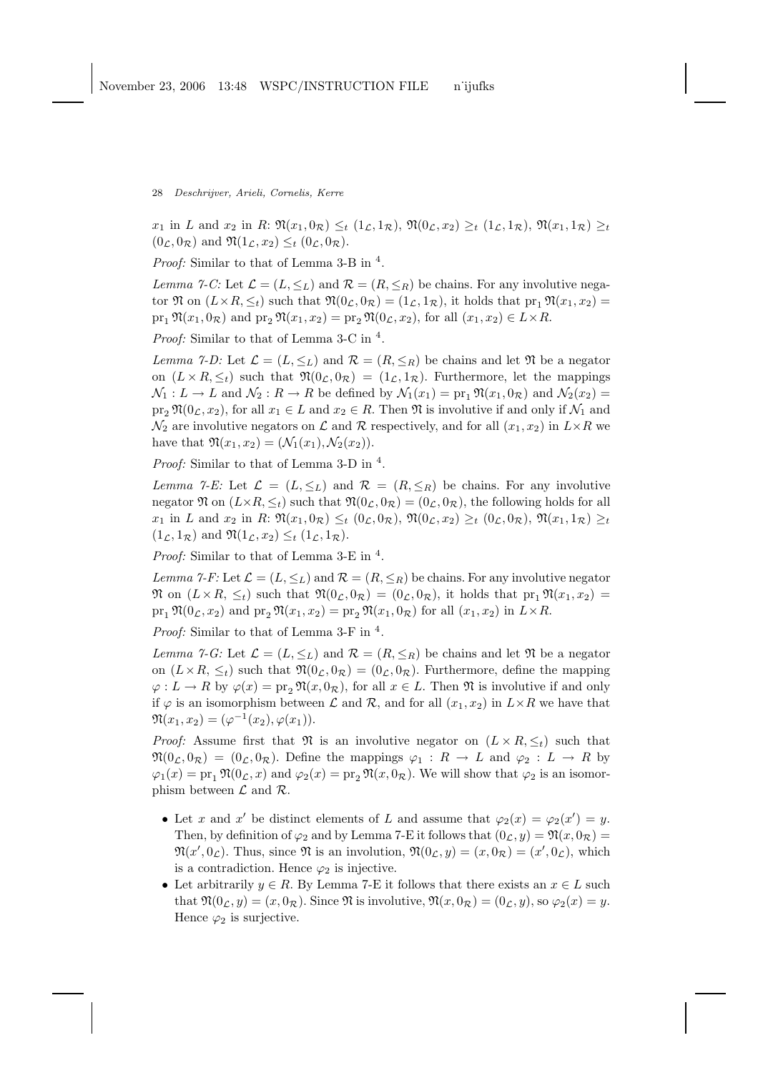$x_1$  in L and  $x_2$  in R:  $\mathfrak{N}(x_1, 0_{\mathcal{R}}) \leq_t (1_{\mathcal{L}}, 1_{\mathcal{R}}), \mathfrak{N}(0_{\mathcal{L}}, x_2) \geq_t (1_{\mathcal{L}}, 1_{\mathcal{R}}), \mathfrak{N}(x_1, 1_{\mathcal{R}}) \geq_t$  $(0_{\mathcal{L}}, 0_{\mathcal{R}})$  and  $\Re(1_{\mathcal{L}}, x_2) \leq_t (0_{\mathcal{L}}, 0_{\mathcal{R}}).$ 

Proof: Similar to that of Lemma 3-B in<sup>4</sup>.

Lemma 7-C: Let  $\mathcal{L} = (L, \leq_L)$  and  $\mathcal{R} = (R, \leq_R)$  be chains. For any involutive negator  $\mathfrak N$  on  $(L \times R, \leq_t)$  such that  $\mathfrak N(0_\mathcal{L}, 0_\mathcal{R}) = (1_\mathcal{L}, 1_\mathcal{R})$ , it holds that  $\text{pr}_1 \mathfrak N(x_1, x_2) =$  $pr_1 \mathfrak{N}(x_1, 0_\mathcal{R})$  and  $pr_2 \mathfrak{N}(x_1, x_2) = pr_2 \mathfrak{N}(0_\mathcal{L}, x_2)$ , for all  $(x_1, x_2) \in L \times R$ .

Proof: Similar to that of Lemma 3-C in<sup>4</sup>.

Lemma 7-D: Let  $\mathcal{L} = (L, \leq_L)$  and  $\mathcal{R} = (R, \leq_R)$  be chains and let  $\mathfrak{N}$  be a negator on  $(L \times R, \leq_t)$  such that  $\mathfrak{N}(0_\mathcal{L}, 0_\mathcal{R}) = (1_\mathcal{L}, 1_\mathcal{R})$ . Furthermore, let the mappings  $\mathcal{N}_1: L \to L$  and  $\mathcal{N}_2: R \to R$  be defined by  $\mathcal{N}_1(x_1) = \text{pr}_1 \mathfrak{N}(x_1, 0_{\mathcal{R}})$  and  $\mathcal{N}_2(x_2) =$  $\text{pr}_2 \mathfrak{N}(0_\mathcal{L}, x_2)$ , for all  $x_1 \in L$  and  $x_2 \in R$ . Then  $\mathfrak{N}$  is involutive if and only if  $\mathcal{N}_1$  and  $\mathcal{N}_2$  are involutive negators on  $\mathcal L$  and  $\mathcal R$  respectively, and for all  $(x_1, x_2)$  in  $L \times R$  we have that  $\mathfrak{N}(x_1, x_2) = (\mathcal{N}_1(x_1), \mathcal{N}_2(x_2)).$ 

Proof: Similar to that of Lemma 3-D in<sup>4</sup>.

Lemma 7-E: Let  $\mathcal{L} = (L, \leq_L)$  and  $\mathcal{R} = (R, \leq_R)$  be chains. For any involutive negator  $\mathfrak N$  on  $(L\times R, \leq_t)$  such that  $\mathfrak N(0_\mathcal{L}, 0_\mathcal{R})=(0_\mathcal{L}, 0_\mathcal{R})$ , the following holds for all  $x_1$  in L and  $x_2$  in R:  $\mathfrak{N}(x_1, 0_{\mathcal{R}}) \leq_t (0_{\mathcal{L}}, 0_{\mathcal{R}}), \mathfrak{N}(0_{\mathcal{L}}, x_2) \geq_t (0_{\mathcal{L}}, 0_{\mathcal{R}}), \mathfrak{N}(x_1, 1_{\mathcal{R}}) \geq_t$  $(1_{\mathcal{L}}, 1_{\mathcal{R}})$  and  $\mathfrak{N}(1_{\mathcal{L}}, x_2) \leq_t (1_{\mathcal{L}}, 1_{\mathcal{R}}).$ 

Proof: Similar to that of Lemma 3-E in<sup>4</sup>.

Lemma 7-F: Let  $\mathcal{L} = (L, \leq_L)$  and  $\mathcal{R} = (R, \leq_R)$  be chains. For any involutive negator  $\mathfrak{N}$  on  $(L \times R, \leq_t)$  such that  $\mathfrak{N}(0_\mathcal{L}, 0_\mathcal{R}) = (0_\mathcal{L}, 0_\mathcal{R})$ , it holds that  $pr_1 \mathfrak{N}(x_1, x_2) =$  $\operatorname{pr}_1 \mathfrak{N}(0_\mathcal{L}, x_2)$  and  $\operatorname{pr}_2 \mathfrak{N}(x_1, x_2) = \operatorname{pr}_2 \mathfrak{N}(x_1, 0_\mathcal{R})$  for all  $(x_1, x_2)$  in  $L \times R$ .

Proof: Similar to that of Lemma 3-F in<sup>4</sup>.

Lemma 7-G: Let  $\mathcal{L} = (L, \leq_L)$  and  $\mathcal{R} = (R, \leq_R)$  be chains and let  $\mathfrak{N}$  be a negator on  $(L \times R, \leq_t)$  such that  $\mathfrak{N}(0_\mathcal{L}, 0_\mathcal{R}) = (0_\mathcal{L}, 0_\mathcal{R})$ . Furthermore, define the mapping  $\varphi: L \to R$  by  $\varphi(x) = \text{pr}_2 \mathfrak{N}(x, 0_R)$ , for all  $x \in L$ . Then  $\mathfrak{N}$  is involutive if and only if  $\varphi$  is an isomorphism between  $\mathcal L$  and  $\mathcal R$ , and for all  $(x_1, x_2)$  in  $L \times R$  we have that  $\mathfrak{N}(x_1, x_2) = (\varphi^{-1}(x_2), \varphi(x_1)).$ 

*Proof:* Assume first that  $\mathfrak{N}$  is an involutive negator on  $(L \times R, \leq_t)$  such that  $\mathfrak{N}(0_\mathcal{L}, 0_\mathcal{R}) = (0_\mathcal{L}, 0_\mathcal{R})$ . Define the mappings  $\varphi_1 : R \to L$  and  $\varphi_2 : L \to R$  by  $\varphi_1(x) = \text{pr}_1 \mathfrak{N}(0_\mathcal{L}, x)$  and  $\varphi_2(x) = \text{pr}_2 \mathfrak{N}(x, 0_\mathcal{R})$ . We will show that  $\varphi_2$  is an isomorphism between  $\mathcal L$  and  $\mathcal R$ .

- Let x and x' be distinct elements of L and assume that  $\varphi_2(x) = \varphi_2(x') = y$ . Then, by definition of  $\varphi_2$  and by Lemma 7-E it follows that  $(0_\mathcal{L}, y) = \mathfrak{N}(x, 0_\mathcal{R}) =$  $\mathfrak{N}(x',0_\mathcal{L})$ . Thus, since  $\mathfrak{N}$  is an involution,  $\mathfrak{N}(0_\mathcal{L},y) = (x,0_\mathcal{R}) = (x',0_\mathcal{L})$ , which is a contradiction. Hence  $\varphi_2$  is injective.
- Let arbitrarily  $y \in R$ . By Lemma 7-E it follows that there exists an  $x \in L$  such that  $\mathfrak{N}(0_\mathcal{L}, y) = (x, 0_\mathcal{R})$ . Since  $\mathfrak{N}$  is involutive,  $\mathfrak{N}(x, 0_\mathcal{R}) = (0_\mathcal{L}, y)$ , so  $\varphi_2(x) = y$ . Hence  $\varphi_2$  is surjective.